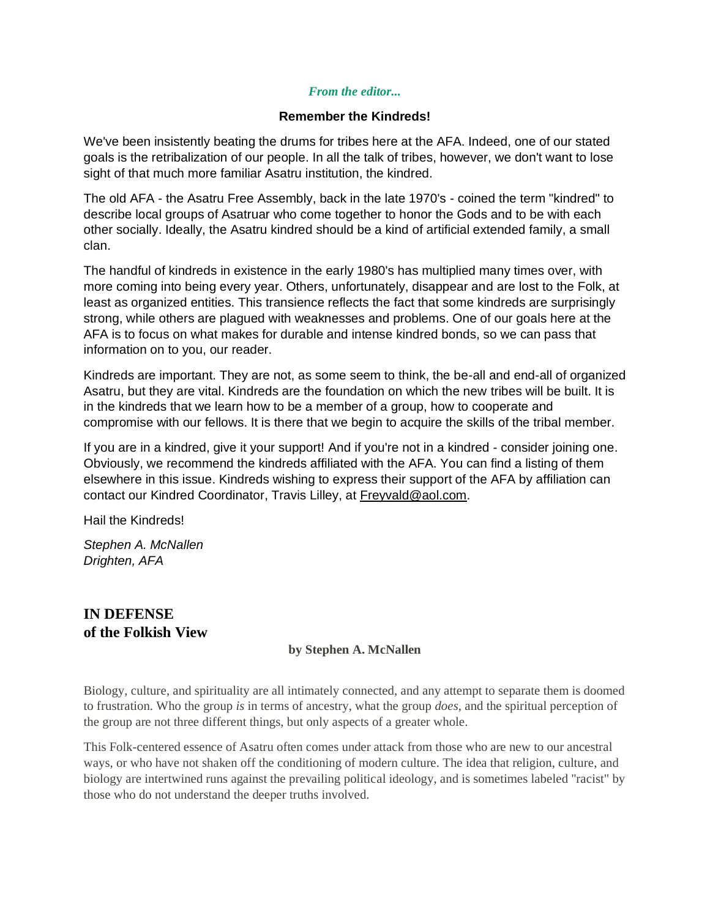# *From the editor...*

# **Remember the Kindreds!**

We've been insistently beating the drums for tribes here at the AFA. Indeed, one of our stated goals is the retribalization of our people. In all the talk of tribes, however, we don't want to lose sight of that much more familiar Asatru institution, the kindred.

The old AFA - the Asatru Free Assembly, back in the late 1970's - coined the term "kindred" to describe local groups of Asatruar who come together to honor the Gods and to be with each other socially. Ideally, the Asatru kindred should be a kind of artificial extended family, a small clan.

The handful of kindreds in existence in the early 1980's has multiplied many times over, with more coming into being every year. Others, unfortunately, disappear and are lost to the Folk, at least as organized entities. This transience reflects the fact that some kindreds are surprisingly strong, while others are plagued with weaknesses and problems. One of our goals here at the AFA is to focus on what makes for durable and intense kindred bonds, so we can pass that information on to you, our reader.

Kindreds are important. They are not, as some seem to think, the be-all and end-all of organized Asatru, but they are vital. Kindreds are the foundation on which the new tribes will be built. It is in the kindreds that we learn how to be a member of a group, how to cooperate and compromise with our fellows. It is there that we begin to acquire the skills of the tribal member.

If you are in a kindred, give it your support! And if you're not in a kindred - consider joining one. Obviously, we recommend the kindreds affiliated with the AFA. You can find a listing of them elsewhere in this issue. Kindreds wishing to express their support of the AFA by affiliation can contact our Kindred Coordinator, Travis Lilley, at [Freyvald@aol.com.](mailto:Freyvald@aol.com)

Hail the Kindreds!

*Stephen A. McNallen Drighten, AFA*

# **IN DEFENSE of the Folkish View**

# **by Stephen A. McNallen**

Biology, culture, and spirituality are all intimately connected, and any attempt to separate them is doomed to frustration. Who the group *is* in terms of ancestry, what the group *does*, and the spiritual perception of the group are not three different things, but only aspects of a greater whole.

This Folk-centered essence of Asatru often comes under attack from those who are new to our ancestral ways, or who have not shaken off the conditioning of modern culture. The idea that religion, culture, and biology are intertwined runs against the prevailing political ideology, and is sometimes labeled "racist" by those who do not understand the deeper truths involved.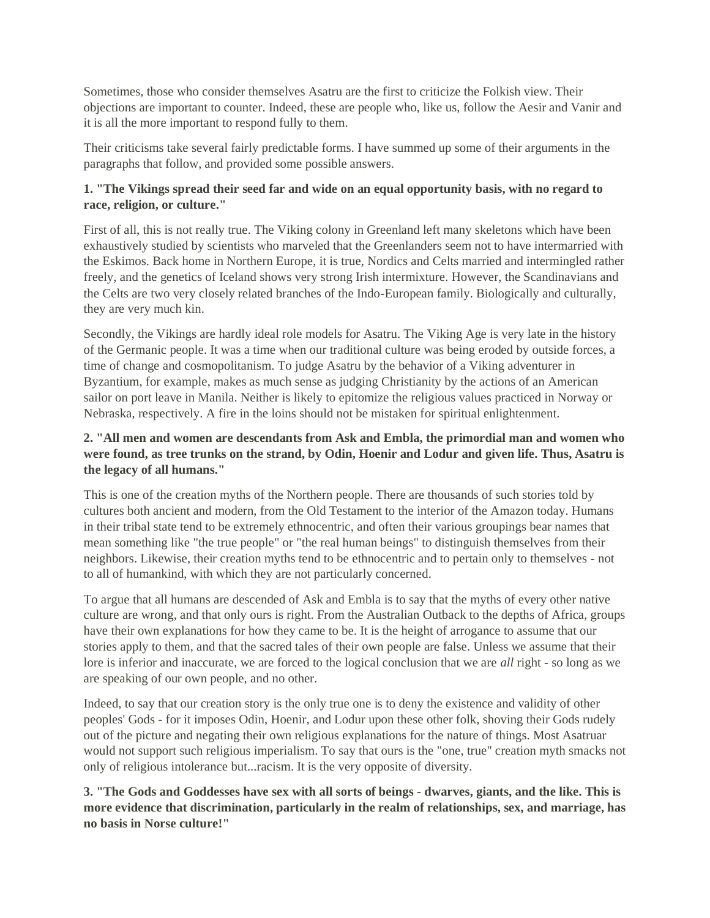Sometimes, those who consider themselves Asatru are the first to criticize the Folkish view. Their objections are important to counter. Indeed, these are people who, like us, follow the Aesir and Vanir and it is all the more important to respond fully to them.

Their criticisms take several fairly predictable forms. I have summed up some of their arguments in the paragraphs that follow, and provided some possible answers.

# **1. "The Vikings spread their seed far and wide on an equal opportunity basis, with no regard to race, religion, or culture."**

First of all, this is not really true. The Viking colony in Greenland left many skeletons which have been exhaustively studied by scientists who marveled that the Greenlanders seem not to have intermarried with the Eskimos. Back home in Northern Europe, it is true, Nordics and Celts married and intermingled rather freely, and the genetics of Iceland shows very strong Irish intermixture. However, the Scandinavians and the Celts are two very closely related branches of the Indo-European family. Biologically and culturally, they are very much kin.

Secondly, the Vikings are hardly ideal role models for Asatru. The Viking Age is very late in the history of the Germanic people. It was a time when our traditional culture was being eroded by outside forces, a time of change and cosmopolitanism. To judge Asatru by the behavior of a Viking adventurer in Byzantium, for example, makes as much sense as judging Christianity by the actions of an American sailor on port leave in Manila. Neither is likely to epitomize the religious values practiced in Norway or Nebraska, respectively. A fire in the loins should not be mistaken for spiritual enlightenment.

# **2. "All men and women are descendants from Ask and Embla, the primordial man and women who were found, as tree trunks on the strand, by Odin, Hoenir and Lodur and given life. Thus, Asatru is the legacy of all humans."**

This is one of the creation myths of the Northern people. There are thousands of such stories told by cultures both ancient and modern, from the Old Testament to the interior of the Amazon today. Humans in their tribal state tend to be extremely ethnocentric, and often their various groupings bear names that mean something like "the true people" or "the real human beings" to distinguish themselves from their neighbors. Likewise, their creation myths tend to be ethnocentric and to pertain only to themselves - not to all of humankind, with which they are not particularly concerned.

To argue that all humans are descended of Ask and Embla is to say that the myths of every other native culture are wrong, and that only ours is right. From the Australian Outback to the depths of Africa, groups have their own explanations for how they came to be. It is the height of arrogance to assume that our stories apply to them, and that the sacred tales of their own people are false. Unless we assume that their lore is inferior and inaccurate, we are forced to the logical conclusion that we are *all* right - so long as we are speaking of our own people, and no other.

Indeed, to say that our creation story is the only true one is to deny the existence and validity of other peoples' Gods - for it imposes Odin, Hoenir, and Lodur upon these other folk, shoving their Gods rudely out of the picture and negating their own religious explanations for the nature of things. Most Asatruar would not support such religious imperialism. To say that ours is the "one, true" creation myth smacks not only of religious intolerance but...racism. It is the very opposite of diversity.

**3. "The Gods and Goddesses have sex with all sorts of beings - dwarves, giants, and the like. This is more evidence that discrimination, particularly in the realm of relationships, sex, and marriage, has no basis in Norse culture!"**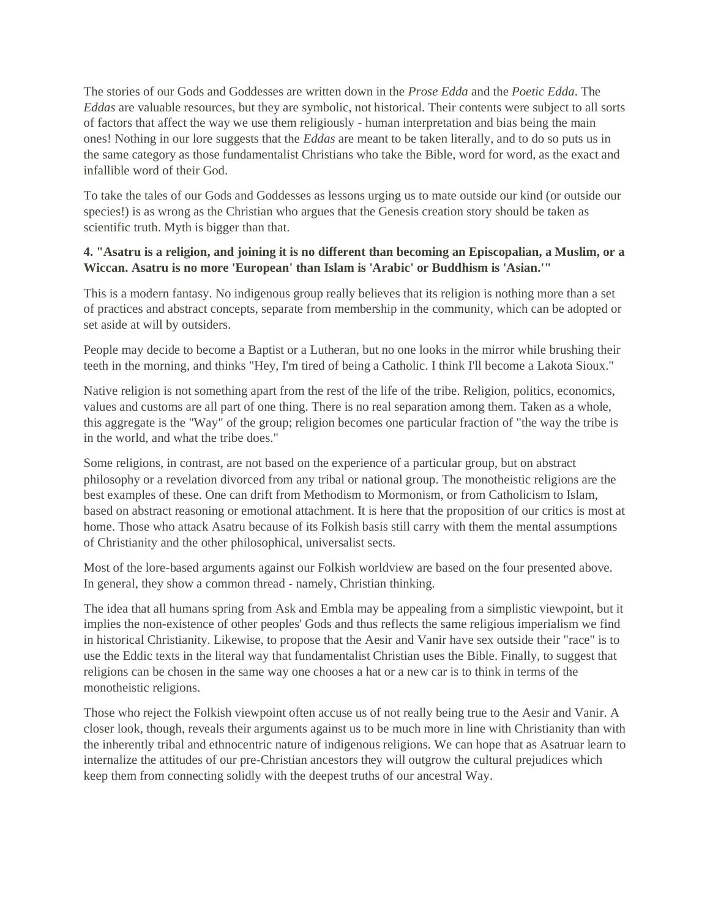The stories of our Gods and Goddesses are written down in the *Prose Edda* and the *Poetic Edda*. The *Eddas* are valuable resources, but they are symbolic, not historical. Their contents were subject to all sorts of factors that affect the way we use them religiously - human interpretation and bias being the main ones! Nothing in our lore suggests that the *Eddas* are meant to be taken literally, and to do so puts us in the same category as those fundamentalist Christians who take the Bible, word for word, as the exact and infallible word of their God.

To take the tales of our Gods and Goddesses as lessons urging us to mate outside our kind (or outside our species!) is as wrong as the Christian who argues that the Genesis creation story should be taken as scientific truth. Myth is bigger than that.

# **4. "Asatru is a religion, and joining it is no different than becoming an Episcopalian, a Muslim, or a Wiccan. Asatru is no more 'European' than Islam is 'Arabic' or Buddhism is 'Asian.'"**

This is a modern fantasy. No indigenous group really believes that its religion is nothing more than a set of practices and abstract concepts, separate from membership in the community, which can be adopted or set aside at will by outsiders.

People may decide to become a Baptist or a Lutheran, but no one looks in the mirror while brushing their teeth in the morning, and thinks "Hey, I'm tired of being a Catholic. I think I'll become a Lakota Sioux."

Native religion is not something apart from the rest of the life of the tribe. Religion, politics, economics, values and customs are all part of one thing. There is no real separation among them. Taken as a whole, this aggregate is the "Way" of the group; religion becomes one particular fraction of "the way the tribe is in the world, and what the tribe does."

Some religions, in contrast, are not based on the experience of a particular group, but on abstract philosophy or a revelation divorced from any tribal or national group. The monotheistic religions are the best examples of these. One can drift from Methodism to Mormonism, or from Catholicism to Islam, based on abstract reasoning or emotional attachment. It is here that the proposition of our critics is most at home. Those who attack Asatru because of its Folkish basis still carry with them the mental assumptions of Christianity and the other philosophical, universalist sects.

Most of the lore-based arguments against our Folkish worldview are based on the four presented above. In general, they show a common thread - namely, Christian thinking.

The idea that all humans spring from Ask and Embla may be appealing from a simplistic viewpoint, but it implies the non-existence of other peoples' Gods and thus reflects the same religious imperialism we find in historical Christianity. Likewise, to propose that the Aesir and Vanir have sex outside their "race" is to use the Eddic texts in the literal way that fundamentalist Christian uses the Bible. Finally, to suggest that religions can be chosen in the same way one chooses a hat or a new car is to think in terms of the monotheistic religions.

Those who reject the Folkish viewpoint often accuse us of not really being true to the Aesir and Vanir. A closer look, though, reveals their arguments against us to be much more in line with Christianity than with the inherently tribal and ethnocentric nature of indigenous religions. We can hope that as Asatruar learn to internalize the attitudes of our pre-Christian ancestors they will outgrow the cultural prejudices which keep them from connecting solidly with the deepest truths of our ancestral Way.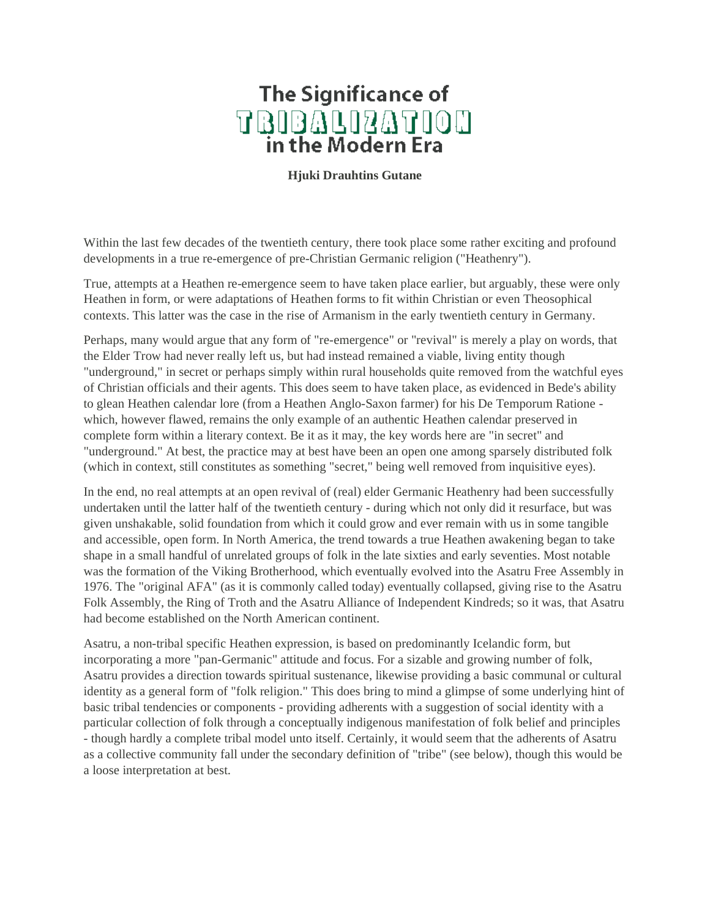# **The Significance of** TBIBALIZATION

**Hjuki Drauhtins Gutane**

Within the last few decades of the twentieth century, there took place some rather exciting and profound developments in a true re-emergence of pre-Christian Germanic religion ("Heathenry").

True, attempts at a Heathen re-emergence seem to have taken place earlier, but arguably, these were only Heathen in form, or were adaptations of Heathen forms to fit within Christian or even Theosophical contexts. This latter was the case in the rise of Armanism in the early twentieth century in Germany.

Perhaps, many would argue that any form of "re-emergence" or "revival" is merely a play on words, that the Elder Trow had never really left us, but had instead remained a viable, living entity though "underground," in secret or perhaps simply within rural households quite removed from the watchful eyes of Christian officials and their agents. This does seem to have taken place, as evidenced in Bede's ability to glean Heathen calendar lore (from a Heathen Anglo-Saxon farmer) for his De Temporum Ratione which, however flawed, remains the only example of an authentic Heathen calendar preserved in complete form within a literary context. Be it as it may, the key words here are "in secret" and "underground." At best, the practice may at best have been an open one among sparsely distributed folk (which in context, still constitutes as something "secret," being well removed from inquisitive eyes).

In the end, no real attempts at an open revival of (real) elder Germanic Heathenry had been successfully undertaken until the latter half of the twentieth century - during which not only did it resurface, but was given unshakable, solid foundation from which it could grow and ever remain with us in some tangible and accessible, open form. In North America, the trend towards a true Heathen awakening began to take shape in a small handful of unrelated groups of folk in the late sixties and early seventies. Most notable was the formation of the Viking Brotherhood, which eventually evolved into the Asatru Free Assembly in 1976. The "original AFA" (as it is commonly called today) eventually collapsed, giving rise to the Asatru Folk Assembly, the Ring of Troth and the Asatru Alliance of Independent Kindreds; so it was, that Asatru had become established on the North American continent.

Asatru, a non-tribal specific Heathen expression, is based on predominantly Icelandic form, but incorporating a more "pan-Germanic" attitude and focus. For a sizable and growing number of folk, Asatru provides a direction towards spiritual sustenance, likewise providing a basic communal or cultural identity as a general form of "folk religion." This does bring to mind a glimpse of some underlying hint of basic tribal tendencies or components - providing adherents with a suggestion of social identity with a particular collection of folk through a conceptually indigenous manifestation of folk belief and principles - though hardly a complete tribal model unto itself. Certainly, it would seem that the adherents of Asatru as a collective community fall under the secondary definition of "tribe" (see below), though this would be a loose interpretation at best.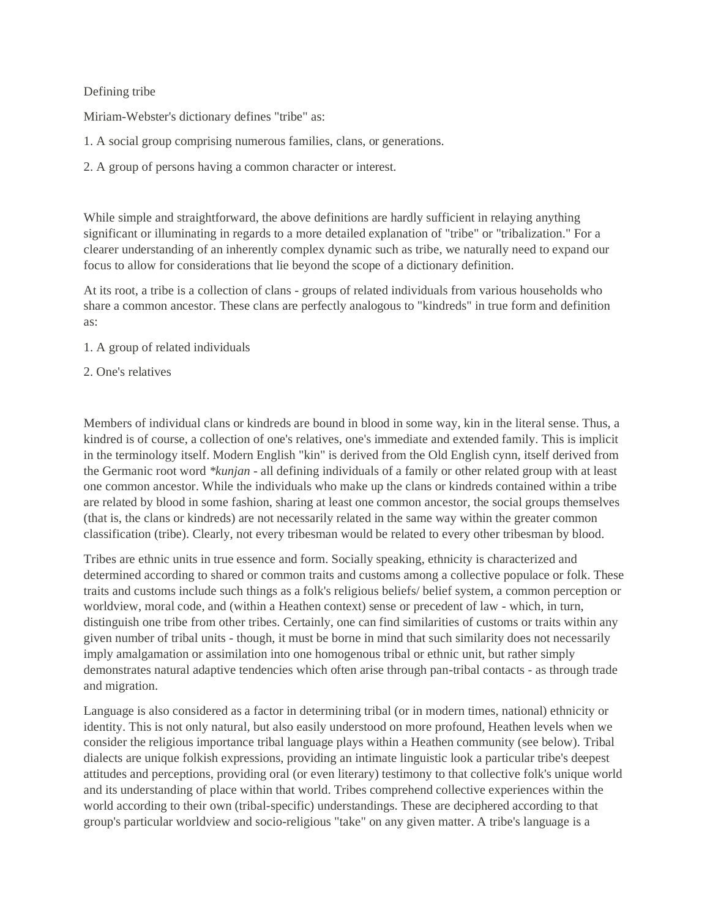## Defining tribe

Miriam-Webster's dictionary defines "tribe" as:

- 1. A social group comprising numerous families, clans, or generations.
- 2. A group of persons having a common character or interest.

While simple and straightforward, the above definitions are hardly sufficient in relaying anything significant or illuminating in regards to a more detailed explanation of "tribe" or "tribalization." For a clearer understanding of an inherently complex dynamic such as tribe, we naturally need to expand our focus to allow for considerations that lie beyond the scope of a dictionary definition.

At its root, a tribe is a collection of clans - groups of related individuals from various households who share a common ancestor. These clans are perfectly analogous to "kindreds" in true form and definition as:

- 1. A group of related individuals
- 2. One's relatives

Members of individual clans or kindreds are bound in blood in some way, kin in the literal sense. Thus, a kindred is of course, a collection of one's relatives, one's immediate and extended family. This is implicit in the terminology itself. Modern English "kin" is derived from the Old English cynn, itself derived from the Germanic root word *\*kunjan* - all defining individuals of a family or other related group with at least one common ancestor. While the individuals who make up the clans or kindreds contained within a tribe are related by blood in some fashion, sharing at least one common ancestor, the social groups themselves (that is, the clans or kindreds) are not necessarily related in the same way within the greater common classification (tribe). Clearly, not every tribesman would be related to every other tribesman by blood.

Tribes are ethnic units in true essence and form. Socially speaking, ethnicity is characterized and determined according to shared or common traits and customs among a collective populace or folk. These traits and customs include such things as a folk's religious beliefs/ belief system, a common perception or worldview, moral code, and (within a Heathen context) sense or precedent of law - which, in turn, distinguish one tribe from other tribes. Certainly, one can find similarities of customs or traits within any given number of tribal units - though, it must be borne in mind that such similarity does not necessarily imply amalgamation or assimilation into one homogenous tribal or ethnic unit, but rather simply demonstrates natural adaptive tendencies which often arise through pan-tribal contacts - as through trade and migration.

Language is also considered as a factor in determining tribal (or in modern times, national) ethnicity or identity. This is not only natural, but also easily understood on more profound, Heathen levels when we consider the religious importance tribal language plays within a Heathen community (see below). Tribal dialects are unique folkish expressions, providing an intimate linguistic look a particular tribe's deepest attitudes and perceptions, providing oral (or even literary) testimony to that collective folk's unique world and its understanding of place within that world. Tribes comprehend collective experiences within the world according to their own (tribal-specific) understandings. These are deciphered according to that group's particular worldview and socio-religious "take" on any given matter. A tribe's language is a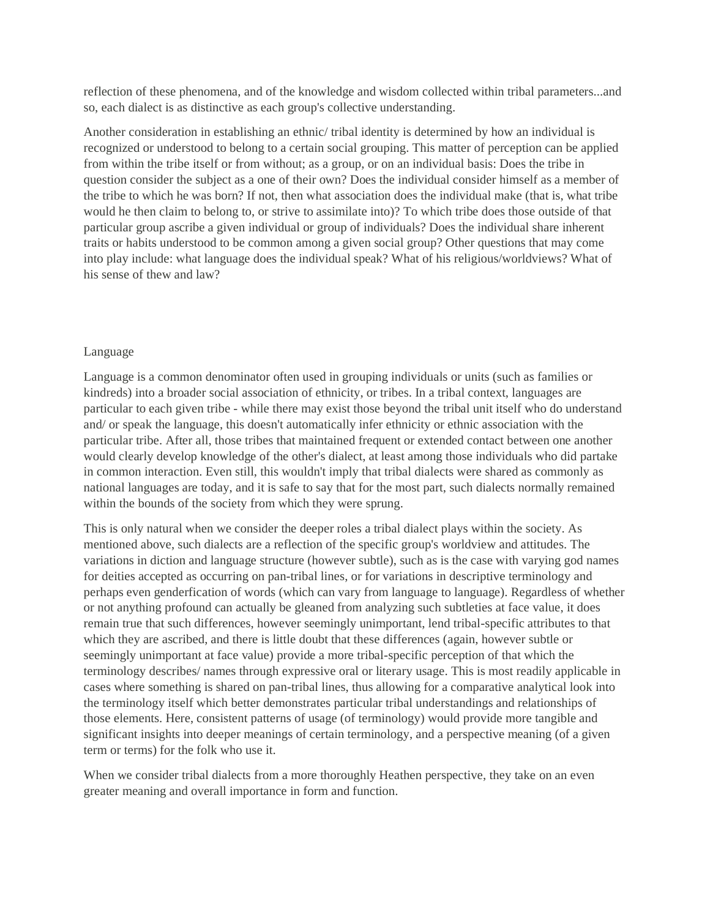reflection of these phenomena, and of the knowledge and wisdom collected within tribal parameters...and so, each dialect is as distinctive as each group's collective understanding.

Another consideration in establishing an ethnic/ tribal identity is determined by how an individual is recognized or understood to belong to a certain social grouping. This matter of perception can be applied from within the tribe itself or from without; as a group, or on an individual basis: Does the tribe in question consider the subject as a one of their own? Does the individual consider himself as a member of the tribe to which he was born? If not, then what association does the individual make (that is, what tribe would he then claim to belong to, or strive to assimilate into)? To which tribe does those outside of that particular group ascribe a given individual or group of individuals? Does the individual share inherent traits or habits understood to be common among a given social group? Other questions that may come into play include: what language does the individual speak? What of his religious/worldviews? What of his sense of thew and law?

### Language

Language is a common denominator often used in grouping individuals or units (such as families or kindreds) into a broader social association of ethnicity, or tribes. In a tribal context, languages are particular to each given tribe - while there may exist those beyond the tribal unit itself who do understand and/ or speak the language, this doesn't automatically infer ethnicity or ethnic association with the particular tribe. After all, those tribes that maintained frequent or extended contact between one another would clearly develop knowledge of the other's dialect, at least among those individuals who did partake in common interaction. Even still, this wouldn't imply that tribal dialects were shared as commonly as national languages are today, and it is safe to say that for the most part, such dialects normally remained within the bounds of the society from which they were sprung.

This is only natural when we consider the deeper roles a tribal dialect plays within the society. As mentioned above, such dialects are a reflection of the specific group's worldview and attitudes. The variations in diction and language structure (however subtle), such as is the case with varying god names for deities accepted as occurring on pan-tribal lines, or for variations in descriptive terminology and perhaps even genderfication of words (which can vary from language to language). Regardless of whether or not anything profound can actually be gleaned from analyzing such subtleties at face value, it does remain true that such differences, however seemingly unimportant, lend tribal-specific attributes to that which they are ascribed, and there is little doubt that these differences (again, however subtle or seemingly unimportant at face value) provide a more tribal-specific perception of that which the terminology describes/ names through expressive oral or literary usage. This is most readily applicable in cases where something is shared on pan-tribal lines, thus allowing for a comparative analytical look into the terminology itself which better demonstrates particular tribal understandings and relationships of those elements. Here, consistent patterns of usage (of terminology) would provide more tangible and significant insights into deeper meanings of certain terminology, and a perspective meaning (of a given term or terms) for the folk who use it.

When we consider tribal dialects from a more thoroughly Heathen perspective, they take on an even greater meaning and overall importance in form and function.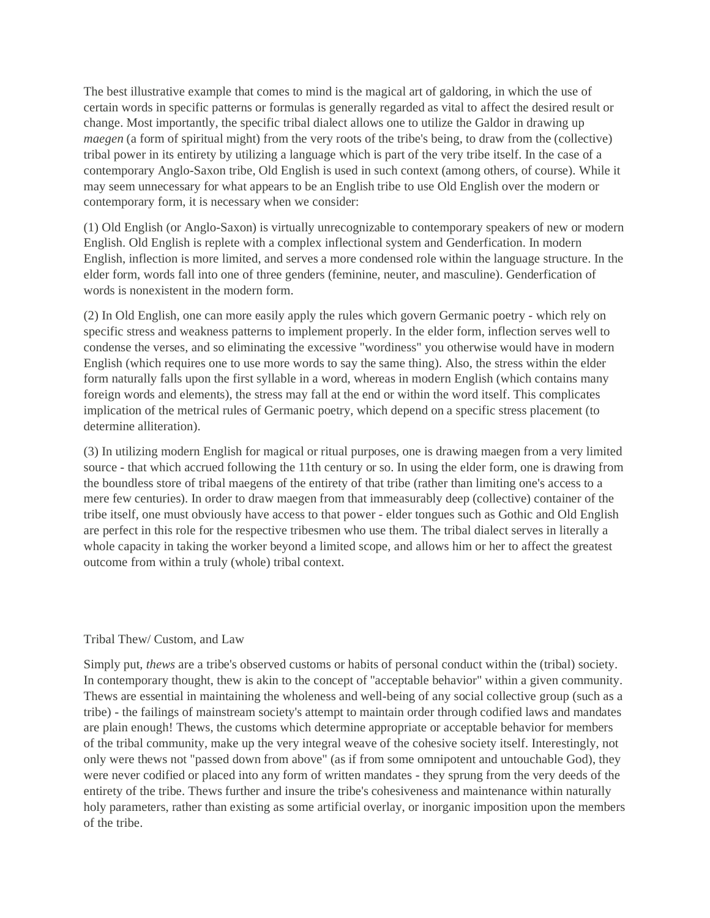The best illustrative example that comes to mind is the magical art of galdoring, in which the use of certain words in specific patterns or formulas is generally regarded as vital to affect the desired result or change. Most importantly, the specific tribal dialect allows one to utilize the Galdor in drawing up *maegen* (a form of spiritual might) from the very roots of the tribe's being, to draw from the (collective) tribal power in its entirety by utilizing a language which is part of the very tribe itself. In the case of a contemporary Anglo-Saxon tribe, Old English is used in such context (among others, of course). While it may seem unnecessary for what appears to be an English tribe to use Old English over the modern or contemporary form, it is necessary when we consider:

(1) Old English (or Anglo-Saxon) is virtually unrecognizable to contemporary speakers of new or modern English. Old English is replete with a complex inflectional system and Genderfication. In modern English, inflection is more limited, and serves a more condensed role within the language structure. In the elder form, words fall into one of three genders (feminine, neuter, and masculine). Genderfication of words is nonexistent in the modern form.

(2) In Old English, one can more easily apply the rules which govern Germanic poetry - which rely on specific stress and weakness patterns to implement properly. In the elder form, inflection serves well to condense the verses, and so eliminating the excessive "wordiness" you otherwise would have in modern English (which requires one to use more words to say the same thing). Also, the stress within the elder form naturally falls upon the first syllable in a word, whereas in modern English (which contains many foreign words and elements), the stress may fall at the end or within the word itself. This complicates implication of the metrical rules of Germanic poetry, which depend on a specific stress placement (to determine alliteration).

(3) In utilizing modern English for magical or ritual purposes, one is drawing maegen from a very limited source - that which accrued following the 11th century or so. In using the elder form, one is drawing from the boundless store of tribal maegens of the entirety of that tribe (rather than limiting one's access to a mere few centuries). In order to draw maegen from that immeasurably deep (collective) container of the tribe itself, one must obviously have access to that power - elder tongues such as Gothic and Old English are perfect in this role for the respective tribesmen who use them. The tribal dialect serves in literally a whole capacity in taking the worker beyond a limited scope, and allows him or her to affect the greatest outcome from within a truly (whole) tribal context.

### Tribal Thew/ Custom, and Law

Simply put, *thews* are a tribe's observed customs or habits of personal conduct within the (tribal) society. In contemporary thought, thew is akin to the concept of "acceptable behavior" within a given community. Thews are essential in maintaining the wholeness and well-being of any social collective group (such as a tribe) - the failings of mainstream society's attempt to maintain order through codified laws and mandates are plain enough! Thews, the customs which determine appropriate or acceptable behavior for members of the tribal community, make up the very integral weave of the cohesive society itself. Interestingly, not only were thews not "passed down from above" (as if from some omnipotent and untouchable God), they were never codified or placed into any form of written mandates - they sprung from the very deeds of the entirety of the tribe. Thews further and insure the tribe's cohesiveness and maintenance within naturally holy parameters, rather than existing as some artificial overlay, or inorganic imposition upon the members of the tribe.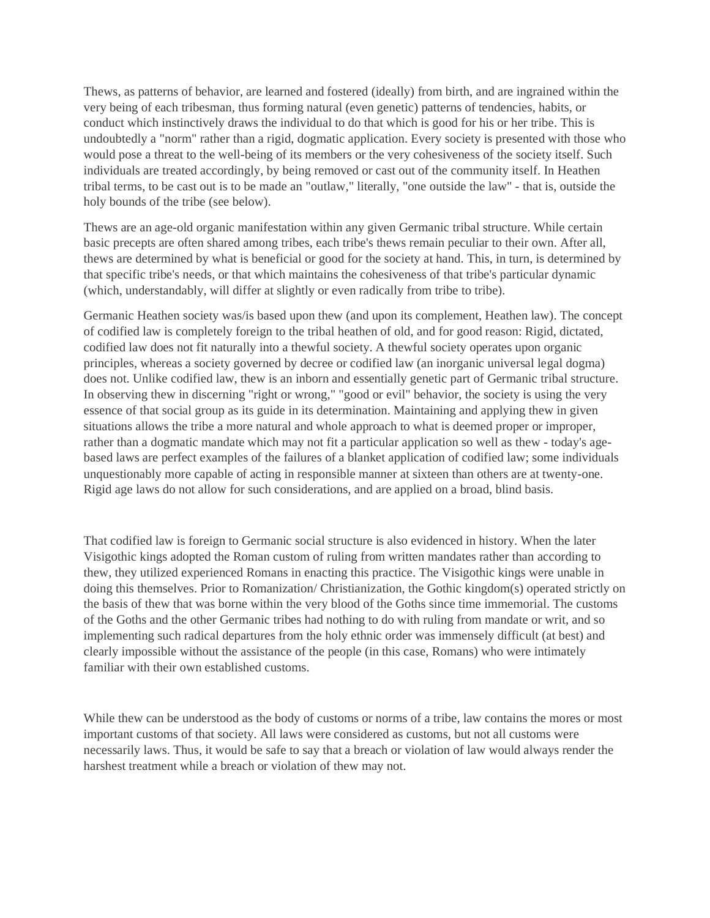Thews, as patterns of behavior, are learned and fostered (ideally) from birth, and are ingrained within the very being of each tribesman, thus forming natural (even genetic) patterns of tendencies, habits, or conduct which instinctively draws the individual to do that which is good for his or her tribe. This is undoubtedly a "norm" rather than a rigid, dogmatic application. Every society is presented with those who would pose a threat to the well-being of its members or the very cohesiveness of the society itself. Such individuals are treated accordingly, by being removed or cast out of the community itself. In Heathen tribal terms, to be cast out is to be made an "outlaw," literally, "one outside the law" - that is, outside the holy bounds of the tribe (see below).

Thews are an age-old organic manifestation within any given Germanic tribal structure. While certain basic precepts are often shared among tribes, each tribe's thews remain peculiar to their own. After all, thews are determined by what is beneficial or good for the society at hand. This, in turn, is determined by that specific tribe's needs, or that which maintains the cohesiveness of that tribe's particular dynamic (which, understandably, will differ at slightly or even radically from tribe to tribe).

Germanic Heathen society was/is based upon thew (and upon its complement, Heathen law). The concept of codified law is completely foreign to the tribal heathen of old, and for good reason: Rigid, dictated, codified law does not fit naturally into a thewful society. A thewful society operates upon organic principles, whereas a society governed by decree or codified law (an inorganic universal legal dogma) does not. Unlike codified law, thew is an inborn and essentially genetic part of Germanic tribal structure. In observing thew in discerning "right or wrong," "good or evil" behavior, the society is using the very essence of that social group as its guide in its determination. Maintaining and applying thew in given situations allows the tribe a more natural and whole approach to what is deemed proper or improper, rather than a dogmatic mandate which may not fit a particular application so well as thew - today's agebased laws are perfect examples of the failures of a blanket application of codified law; some individuals unquestionably more capable of acting in responsible manner at sixteen than others are at twenty-one. Rigid age laws do not allow for such considerations, and are applied on a broad, blind basis.

That codified law is foreign to Germanic social structure is also evidenced in history. When the later Visigothic kings adopted the Roman custom of ruling from written mandates rather than according to thew, they utilized experienced Romans in enacting this practice. The Visigothic kings were unable in doing this themselves. Prior to Romanization/ Christianization, the Gothic kingdom(s) operated strictly on the basis of thew that was borne within the very blood of the Goths since time immemorial. The customs of the Goths and the other Germanic tribes had nothing to do with ruling from mandate or writ, and so implementing such radical departures from the holy ethnic order was immensely difficult (at best) and clearly impossible without the assistance of the people (in this case, Romans) who were intimately familiar with their own established customs.

While thew can be understood as the body of customs or norms of a tribe, law contains the mores or most important customs of that society. All laws were considered as customs, but not all customs were necessarily laws. Thus, it would be safe to say that a breach or violation of law would always render the harshest treatment while a breach or violation of thew may not.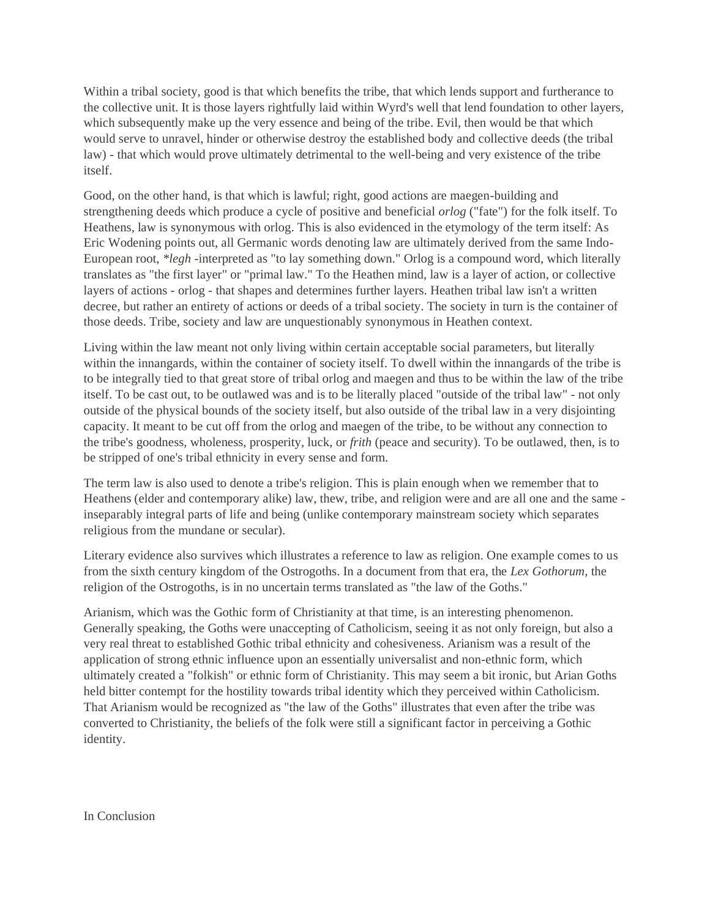Within a tribal society, good is that which benefits the tribe, that which lends support and furtherance to the collective unit. It is those layers rightfully laid within Wyrd's well that lend foundation to other layers, which subsequently make up the very essence and being of the tribe. Evil, then would be that which would serve to unravel, hinder or otherwise destroy the established body and collective deeds (the tribal law) - that which would prove ultimately detrimental to the well-being and very existence of the tribe itself.

Good, on the other hand, is that which is lawful; right, good actions are maegen-building and strengthening deeds which produce a cycle of positive and beneficial *orlog* ("fate") for the folk itself. To Heathens, law is synonymous with orlog. This is also evidenced in the etymology of the term itself: As Eric Wodening points out, all Germanic words denoting law are ultimately derived from the same Indo-European root, *\*legh* -interpreted as "to lay something down." Orlog is a compound word, which literally translates as "the first layer" or "primal law." To the Heathen mind, law is a layer of action, or collective layers of actions - orlog - that shapes and determines further layers. Heathen tribal law isn't a written decree, but rather an entirety of actions or deeds of a tribal society. The society in turn is the container of those deeds. Tribe, society and law are unquestionably synonymous in Heathen context.

Living within the law meant not only living within certain acceptable social parameters, but literally within the innangards, within the container of society itself. To dwell within the innangards of the tribe is to be integrally tied to that great store of tribal orlog and maegen and thus to be within the law of the tribe itself. To be cast out, to be outlawed was and is to be literally placed "outside of the tribal law" - not only outside of the physical bounds of the society itself, but also outside of the tribal law in a very disjointing capacity. It meant to be cut off from the orlog and maegen of the tribe, to be without any connection to the tribe's goodness, wholeness, prosperity, luck, or *frith* (peace and security). To be outlawed, then, is to be stripped of one's tribal ethnicity in every sense and form.

The term law is also used to denote a tribe's religion. This is plain enough when we remember that to Heathens (elder and contemporary alike) law, thew, tribe, and religion were and are all one and the same inseparably integral parts of life and being (unlike contemporary mainstream society which separates religious from the mundane or secular).

Literary evidence also survives which illustrates a reference to law as religion. One example comes to us from the sixth century kingdom of the Ostrogoths. In a document from that era, the *Lex Gothorum*, the religion of the Ostrogoths, is in no uncertain terms translated as "the law of the Goths."

Arianism, which was the Gothic form of Christianity at that time, is an interesting phenomenon. Generally speaking, the Goths were unaccepting of Catholicism, seeing it as not only foreign, but also a very real threat to established Gothic tribal ethnicity and cohesiveness. Arianism was a result of the application of strong ethnic influence upon an essentially universalist and non-ethnic form, which ultimately created a "folkish" or ethnic form of Christianity. This may seem a bit ironic, but Arian Goths held bitter contempt for the hostility towards tribal identity which they perceived within Catholicism. That Arianism would be recognized as "the law of the Goths" illustrates that even after the tribe was converted to Christianity, the beliefs of the folk were still a significant factor in perceiving a Gothic identity.

In Conclusion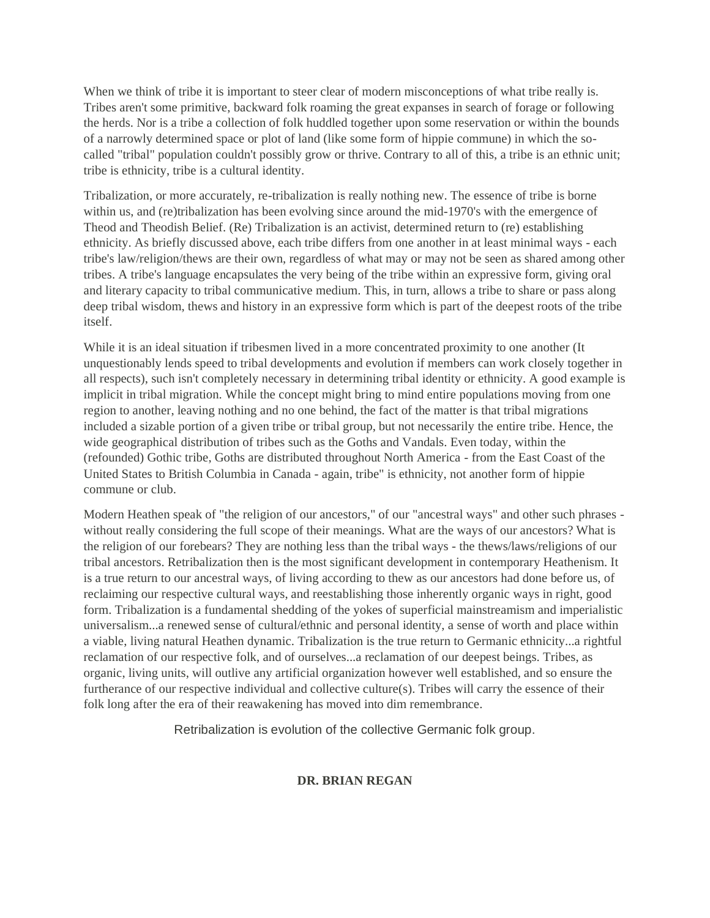When we think of tribe it is important to steer clear of modern misconceptions of what tribe really is. Tribes aren't some primitive, backward folk roaming the great expanses in search of forage or following the herds. Nor is a tribe a collection of folk huddled together upon some reservation or within the bounds of a narrowly determined space or plot of land (like some form of hippie commune) in which the socalled "tribal" population couldn't possibly grow or thrive. Contrary to all of this, a tribe is an ethnic unit; tribe is ethnicity, tribe is a cultural identity.

Tribalization, or more accurately, re-tribalization is really nothing new. The essence of tribe is borne within us, and (re)tribalization has been evolving since around the mid-1970's with the emergence of Theod and Theodish Belief. (Re) Tribalization is an activist, determined return to (re) establishing ethnicity. As briefly discussed above, each tribe differs from one another in at least minimal ways - each tribe's law/religion/thews are their own, regardless of what may or may not be seen as shared among other tribes. A tribe's language encapsulates the very being of the tribe within an expressive form, giving oral and literary capacity to tribal communicative medium. This, in turn, allows a tribe to share or pass along deep tribal wisdom, thews and history in an expressive form which is part of the deepest roots of the tribe itself.

While it is an ideal situation if tribesmen lived in a more concentrated proximity to one another (It unquestionably lends speed to tribal developments and evolution if members can work closely together in all respects), such isn't completely necessary in determining tribal identity or ethnicity. A good example is implicit in tribal migration. While the concept might bring to mind entire populations moving from one region to another, leaving nothing and no one behind, the fact of the matter is that tribal migrations included a sizable portion of a given tribe or tribal group, but not necessarily the entire tribe. Hence, the wide geographical distribution of tribes such as the Goths and Vandals. Even today, within the (refounded) Gothic tribe, Goths are distributed throughout North America - from the East Coast of the United States to British Columbia in Canada - again, tribe" is ethnicity, not another form of hippie commune or club.

Modern Heathen speak of "the religion of our ancestors," of our "ancestral ways" and other such phrases without really considering the full scope of their meanings. What are the ways of our ancestors? What is the religion of our forebears? They are nothing less than the tribal ways - the thews/laws/religions of our tribal ancestors. Retribalization then is the most significant development in contemporary Heathenism. It is a true return to our ancestral ways, of living according to thew as our ancestors had done before us, of reclaiming our respective cultural ways, and reestablishing those inherently organic ways in right, good form. Tribalization is a fundamental shedding of the yokes of superficial mainstreamism and imperialistic universalism...a renewed sense of cultural/ethnic and personal identity, a sense of worth and place within a viable, living natural Heathen dynamic. Tribalization is the true return to Germanic ethnicity...a rightful reclamation of our respective folk, and of ourselves...a reclamation of our deepest beings. Tribes, as organic, living units, will outlive any artificial organization however well established, and so ensure the furtherance of our respective individual and collective culture(s). Tribes will carry the essence of their folk long after the era of their reawakening has moved into dim remembrance.

Retribalization is evolution of the collective Germanic folk group.

# **DR. BRIAN REGAN**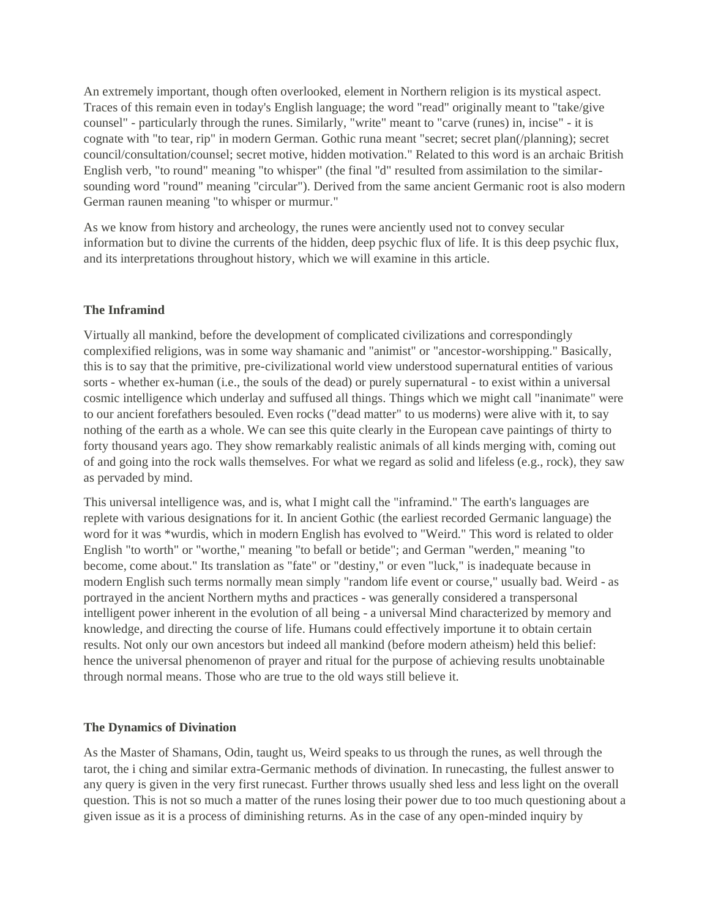An extremely important, though often overlooked, element in Northern religion is its mystical aspect. Traces of this remain even in today's English language; the word "read" originally meant to "take/give counsel" - particularly through the runes. Similarly, "write" meant to "carve (runes) in, incise" - it is cognate with "to tear, rip" in modern German. Gothic runa meant "secret; secret plan(/planning); secret council/consultation/counsel; secret motive, hidden motivation." Related to this word is an archaic British English verb, "to round" meaning "to whisper" (the final "d" resulted from assimilation to the similarsounding word "round" meaning "circular"). Derived from the same ancient Germanic root is also modern German raunen meaning "to whisper or murmur."

As we know from history and archeology, the runes were anciently used not to convey secular information but to divine the currents of the hidden, deep psychic flux of life. It is this deep psychic flux, and its interpretations throughout history, which we will examine in this article.

# **The Inframind**

Virtually all mankind, before the development of complicated civilizations and correspondingly complexified religions, was in some way shamanic and "animist" or "ancestor-worshipping." Basically, this is to say that the primitive, pre-civilizational world view understood supernatural entities of various sorts - whether ex-human (i.e., the souls of the dead) or purely supernatural - to exist within a universal cosmic intelligence which underlay and suffused all things. Things which we might call "inanimate" were to our ancient forefathers besouled. Even rocks ("dead matter" to us moderns) were alive with it, to say nothing of the earth as a whole. We can see this quite clearly in the European cave paintings of thirty to forty thousand years ago. They show remarkably realistic animals of all kinds merging with, coming out of and going into the rock walls themselves. For what we regard as solid and lifeless (e.g., rock), they saw as pervaded by mind.

This universal intelligence was, and is, what I might call the "inframind." The earth's languages are replete with various designations for it. In ancient Gothic (the earliest recorded Germanic language) the word for it was \*wurdis, which in modern English has evolved to "Weird." This word is related to older English "to worth" or "worthe," meaning "to befall or betide"; and German "werden," meaning "to become, come about." Its translation as "fate" or "destiny," or even "luck," is inadequate because in modern English such terms normally mean simply "random life event or course," usually bad. Weird - as portrayed in the ancient Northern myths and practices - was generally considered a transpersonal intelligent power inherent in the evolution of all being - a universal Mind characterized by memory and knowledge, and directing the course of life. Humans could effectively importune it to obtain certain results. Not only our own ancestors but indeed all mankind (before modern atheism) held this belief: hence the universal phenomenon of prayer and ritual for the purpose of achieving results unobtainable through normal means. Those who are true to the old ways still believe it.

# **The Dynamics of Divination**

As the Master of Shamans, Odin, taught us, Weird speaks to us through the runes, as well through the tarot, the i ching and similar extra-Germanic methods of divination. In runecasting, the fullest answer to any query is given in the very first runecast. Further throws usually shed less and less light on the overall question. This is not so much a matter of the runes losing their power due to too much questioning about a given issue as it is a process of diminishing returns. As in the case of any open-minded inquiry by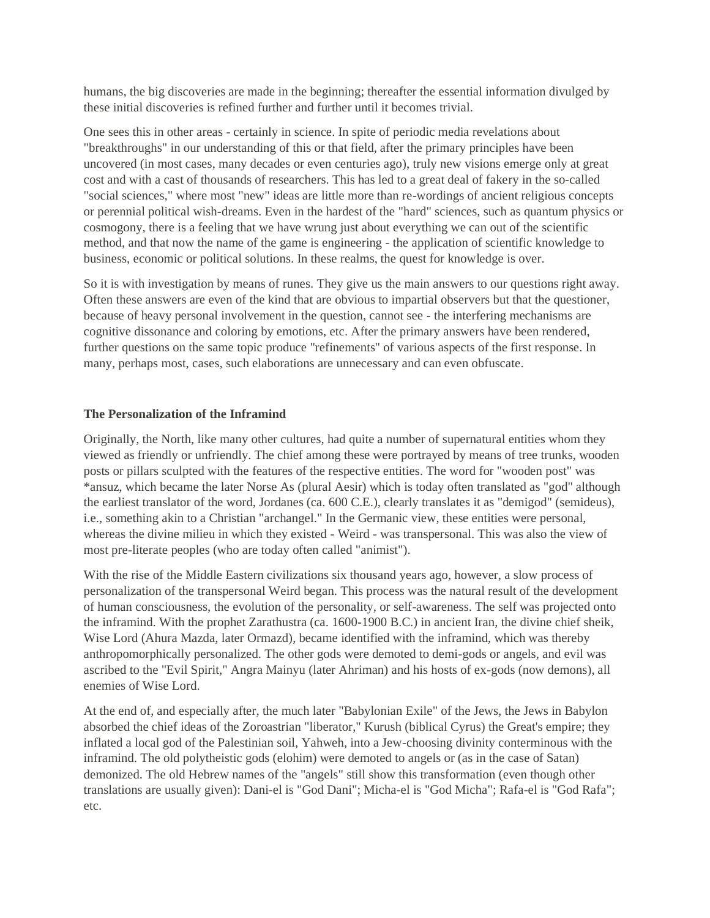humans, the big discoveries are made in the beginning; thereafter the essential information divulged by these initial discoveries is refined further and further until it becomes trivial.

One sees this in other areas - certainly in science. In spite of periodic media revelations about "breakthroughs" in our understanding of this or that field, after the primary principles have been uncovered (in most cases, many decades or even centuries ago), truly new visions emerge only at great cost and with a cast of thousands of researchers. This has led to a great deal of fakery in the so-called "social sciences," where most "new" ideas are little more than re-wordings of ancient religious concepts or perennial political wish-dreams. Even in the hardest of the "hard" sciences, such as quantum physics or cosmogony, there is a feeling that we have wrung just about everything we can out of the scientific method, and that now the name of the game is engineering - the application of scientific knowledge to business, economic or political solutions. In these realms, the quest for knowledge is over.

So it is with investigation by means of runes. They give us the main answers to our questions right away. Often these answers are even of the kind that are obvious to impartial observers but that the questioner, because of heavy personal involvement in the question, cannot see - the interfering mechanisms are cognitive dissonance and coloring by emotions, etc. After the primary answers have been rendered, further questions on the same topic produce "refinements" of various aspects of the first response. In many, perhaps most, cases, such elaborations are unnecessary and can even obfuscate.

# **The Personalization of the Inframind**

Originally, the North, like many other cultures, had quite a number of supernatural entities whom they viewed as friendly or unfriendly. The chief among these were portrayed by means of tree trunks, wooden posts or pillars sculpted with the features of the respective entities. The word for "wooden post" was \*ansuz, which became the later Norse As (plural Aesir) which is today often translated as "god" although the earliest translator of the word, Jordanes (ca. 600 C.E.), clearly translates it as "demigod" (semideus), i.e., something akin to a Christian "archangel." In the Germanic view, these entities were personal, whereas the divine milieu in which they existed - Weird - was transpersonal. This was also the view of most pre-literate peoples (who are today often called "animist").

With the rise of the Middle Eastern civilizations six thousand years ago, however, a slow process of personalization of the transpersonal Weird began. This process was the natural result of the development of human consciousness, the evolution of the personality, or self-awareness. The self was projected onto the inframind. With the prophet Zarathustra (ca. 1600-1900 B.C.) in ancient Iran, the divine chief sheik, Wise Lord (Ahura Mazda, later Ormazd), became identified with the inframind, which was thereby anthropomorphically personalized. The other gods were demoted to demi-gods or angels, and evil was ascribed to the "Evil Spirit," Angra Mainyu (later Ahriman) and his hosts of ex-gods (now demons), all enemies of Wise Lord.

At the end of, and especially after, the much later "Babylonian Exile" of the Jews, the Jews in Babylon absorbed the chief ideas of the Zoroastrian "liberator," Kurush (biblical Cyrus) the Great's empire; they inflated a local god of the Palestinian soil, Yahweh, into a Jew-choosing divinity conterminous with the inframind. The old polytheistic gods (elohim) were demoted to angels or (as in the case of Satan) demonized. The old Hebrew names of the "angels" still show this transformation (even though other translations are usually given): Dani-el is "God Dani"; Micha-el is "God Micha"; Rafa-el is "God Rafa"; etc.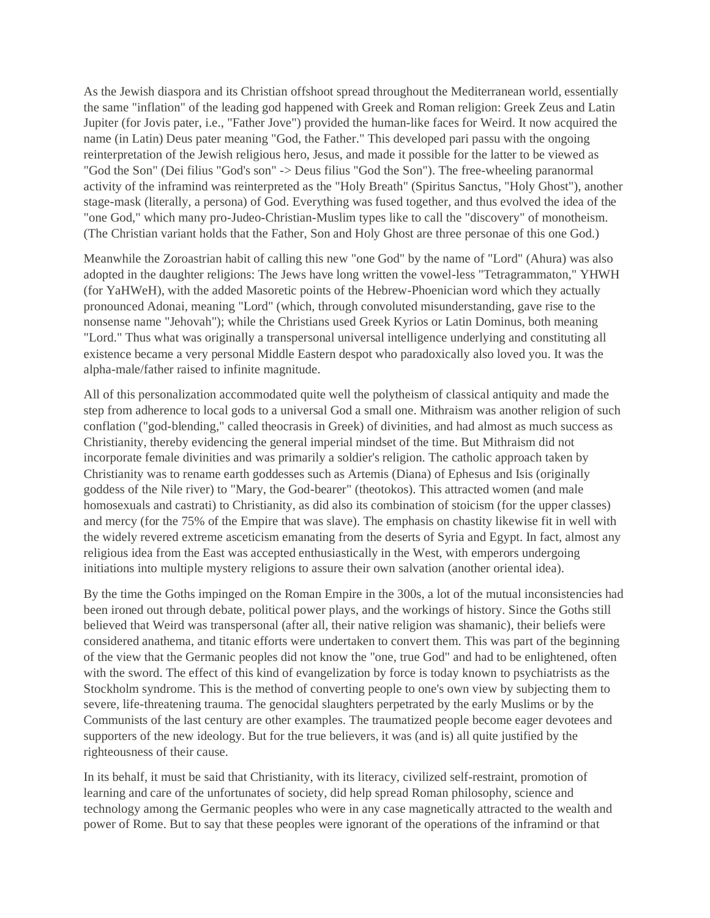As the Jewish diaspora and its Christian offshoot spread throughout the Mediterranean world, essentially the same "inflation" of the leading god happened with Greek and Roman religion: Greek Zeus and Latin Jupiter (for Jovis pater, i.e., "Father Jove") provided the human-like faces for Weird. It now acquired the name (in Latin) Deus pater meaning "God, the Father." This developed pari passu with the ongoing reinterpretation of the Jewish religious hero, Jesus, and made it possible for the latter to be viewed as "God the Son" (Dei filius "God's son" -> Deus filius "God the Son"). The free-wheeling paranormal activity of the inframind was reinterpreted as the "Holy Breath" (Spiritus Sanctus, "Holy Ghost"), another stage-mask (literally, a persona) of God. Everything was fused together, and thus evolved the idea of the "one God," which many pro-Judeo-Christian-Muslim types like to call the "discovery" of monotheism. (The Christian variant holds that the Father, Son and Holy Ghost are three personae of this one God.)

Meanwhile the Zoroastrian habit of calling this new "one God" by the name of "Lord" (Ahura) was also adopted in the daughter religions: The Jews have long written the vowel-less "Tetragrammaton," YHWH (for YaHWeH), with the added Masoretic points of the Hebrew-Phoenician word which they actually pronounced Adonai, meaning "Lord" (which, through convoluted misunderstanding, gave rise to the nonsense name "Jehovah"); while the Christians used Greek Kyrios or Latin Dominus, both meaning "Lord." Thus what was originally a transpersonal universal intelligence underlying and constituting all existence became a very personal Middle Eastern despot who paradoxically also loved you. It was the alpha-male/father raised to infinite magnitude.

All of this personalization accommodated quite well the polytheism of classical antiquity and made the step from adherence to local gods to a universal God a small one. Mithraism was another religion of such conflation ("god-blending," called theocrasis in Greek) of divinities, and had almost as much success as Christianity, thereby evidencing the general imperial mindset of the time. But Mithraism did not incorporate female divinities and was primarily a soldier's religion. The catholic approach taken by Christianity was to rename earth goddesses such as Artemis (Diana) of Ephesus and Isis (originally goddess of the Nile river) to "Mary, the God-bearer" (theotokos). This attracted women (and male homosexuals and castrati) to Christianity, as did also its combination of stoicism (for the upper classes) and mercy (for the 75% of the Empire that was slave). The emphasis on chastity likewise fit in well with the widely revered extreme asceticism emanating from the deserts of Syria and Egypt. In fact, almost any religious idea from the East was accepted enthusiastically in the West, with emperors undergoing initiations into multiple mystery religions to assure their own salvation (another oriental idea).

By the time the Goths impinged on the Roman Empire in the 300s, a lot of the mutual inconsistencies had been ironed out through debate, political power plays, and the workings of history. Since the Goths still believed that Weird was transpersonal (after all, their native religion was shamanic), their beliefs were considered anathema, and titanic efforts were undertaken to convert them. This was part of the beginning of the view that the Germanic peoples did not know the "one, true God" and had to be enlightened, often with the sword. The effect of this kind of evangelization by force is today known to psychiatrists as the Stockholm syndrome. This is the method of converting people to one's own view by subjecting them to severe, life-threatening trauma. The genocidal slaughters perpetrated by the early Muslims or by the Communists of the last century are other examples. The traumatized people become eager devotees and supporters of the new ideology. But for the true believers, it was (and is) all quite justified by the righteousness of their cause.

In its behalf, it must be said that Christianity, with its literacy, civilized self-restraint, promotion of learning and care of the unfortunates of society, did help spread Roman philosophy, science and technology among the Germanic peoples who were in any case magnetically attracted to the wealth and power of Rome. But to say that these peoples were ignorant of the operations of the inframind or that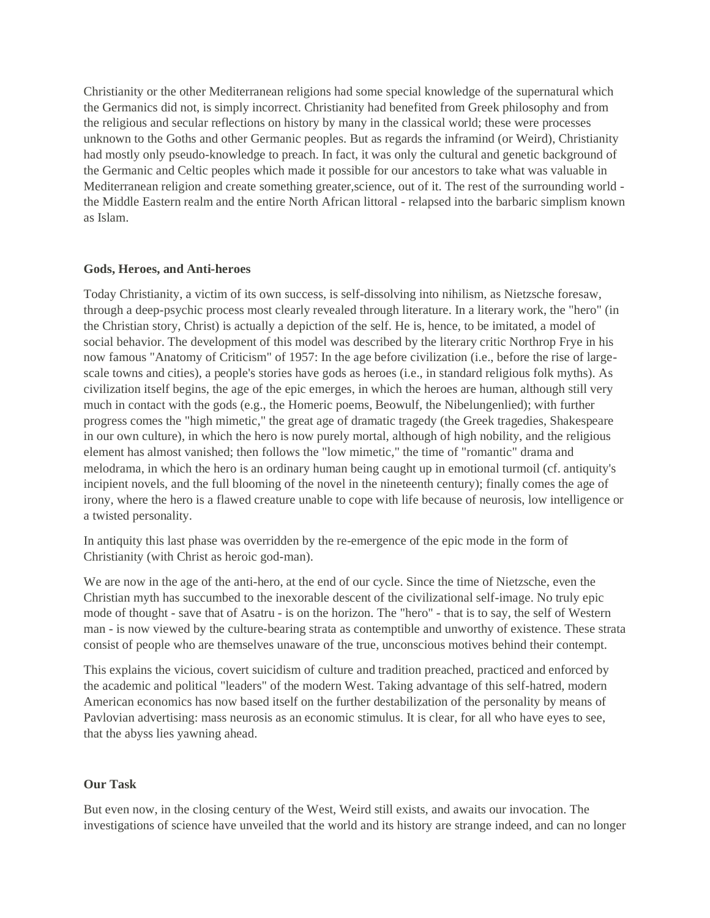Christianity or the other Mediterranean religions had some special knowledge of the supernatural which the Germanics did not, is simply incorrect. Christianity had benefited from Greek philosophy and from the religious and secular reflections on history by many in the classical world; these were processes unknown to the Goths and other Germanic peoples. But as regards the inframind (or Weird), Christianity had mostly only pseudo-knowledge to preach. In fact, it was only the cultural and genetic background of the Germanic and Celtic peoples which made it possible for our ancestors to take what was valuable in Mediterranean religion and create something greater,science, out of it. The rest of the surrounding world the Middle Eastern realm and the entire North African littoral - relapsed into the barbaric simplism known as Islam.

### **Gods, Heroes, and Anti-heroes**

Today Christianity, a victim of its own success, is self-dissolving into nihilism, as Nietzsche foresaw, through a deep-psychic process most clearly revealed through literature. In a literary work, the "hero" (in the Christian story, Christ) is actually a depiction of the self. He is, hence, to be imitated, a model of social behavior. The development of this model was described by the literary critic Northrop Frye in his now famous "Anatomy of Criticism" of 1957: In the age before civilization (i.e., before the rise of largescale towns and cities), a people's stories have gods as heroes (i.e., in standard religious folk myths). As civilization itself begins, the age of the epic emerges, in which the heroes are human, although still very much in contact with the gods (e.g., the Homeric poems, Beowulf, the Nibelungenlied); with further progress comes the "high mimetic," the great age of dramatic tragedy (the Greek tragedies, Shakespeare in our own culture), in which the hero is now purely mortal, although of high nobility, and the religious element has almost vanished; then follows the "low mimetic," the time of "romantic" drama and melodrama, in which the hero is an ordinary human being caught up in emotional turmoil (cf. antiquity's incipient novels, and the full blooming of the novel in the nineteenth century); finally comes the age of irony, where the hero is a flawed creature unable to cope with life because of neurosis, low intelligence or a twisted personality.

In antiquity this last phase was overridden by the re-emergence of the epic mode in the form of Christianity (with Christ as heroic god-man).

We are now in the age of the anti-hero, at the end of our cycle. Since the time of Nietzsche, even the Christian myth has succumbed to the inexorable descent of the civilizational self-image. No truly epic mode of thought - save that of Asatru - is on the horizon. The "hero" - that is to say, the self of Western man - is now viewed by the culture-bearing strata as contemptible and unworthy of existence. These strata consist of people who are themselves unaware of the true, unconscious motives behind their contempt.

This explains the vicious, covert suicidism of culture and tradition preached, practiced and enforced by the academic and political "leaders" of the modern West. Taking advantage of this self-hatred, modern American economics has now based itself on the further destabilization of the personality by means of Pavlovian advertising: mass neurosis as an economic stimulus. It is clear, for all who have eyes to see, that the abyss lies yawning ahead.

# **Our Task**

But even now, in the closing century of the West, Weird still exists, and awaits our invocation. The investigations of science have unveiled that the world and its history are strange indeed, and can no longer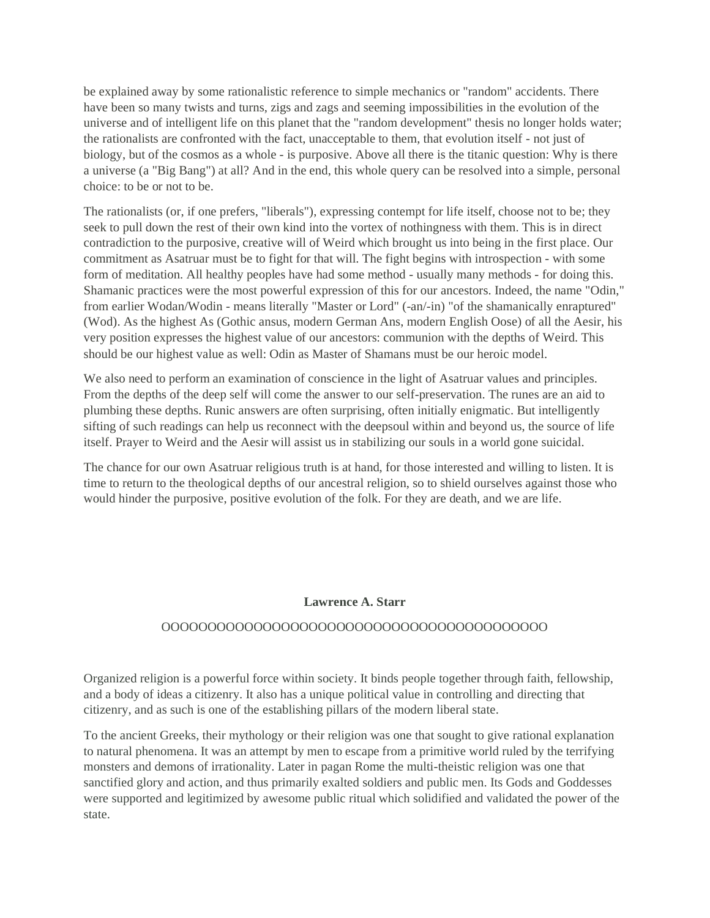be explained away by some rationalistic reference to simple mechanics or "random" accidents. There have been so many twists and turns, zigs and zags and seeming impossibilities in the evolution of the universe and of intelligent life on this planet that the "random development" thesis no longer holds water; the rationalists are confronted with the fact, unacceptable to them, that evolution itself - not just of biology, but of the cosmos as a whole - is purposive. Above all there is the titanic question: Why is there a universe (a "Big Bang") at all? And in the end, this whole query can be resolved into a simple, personal choice: to be or not to be.

The rationalists (or, if one prefers, "liberals"), expressing contempt for life itself, choose not to be; they seek to pull down the rest of their own kind into the vortex of nothingness with them. This is in direct contradiction to the purposive, creative will of Weird which brought us into being in the first place. Our commitment as Asatruar must be to fight for that will. The fight begins with introspection - with some form of meditation. All healthy peoples have had some method - usually many methods - for doing this. Shamanic practices were the most powerful expression of this for our ancestors. Indeed, the name "Odin," from earlier Wodan/Wodin - means literally "Master or Lord" (-an/-in) "of the shamanically enraptured" (Wod). As the highest As (Gothic ansus, modern German Ans, modern English Oose) of all the Aesir, his very position expresses the highest value of our ancestors: communion with the depths of Weird. This should be our highest value as well: Odin as Master of Shamans must be our heroic model.

We also need to perform an examination of conscience in the light of Asatruar values and principles. From the depths of the deep self will come the answer to our self-preservation. The runes are an aid to plumbing these depths. Runic answers are often surprising, often initially enigmatic. But intelligently sifting of such readings can help us reconnect with the deepsoul within and beyond us, the source of life itself. Prayer to Weird and the Aesir will assist us in stabilizing our souls in a world gone suicidal.

The chance for our own Asatruar religious truth is at hand, for those interested and willing to listen. It is time to return to the theological depths of our ancestral religion, so to shield ourselves against those who would hinder the purposive, positive evolution of the folk. For they are death, and we are life.

### **Lawrence A. Starr**

# OOOOOOOOOOOOOOOOOOOOOOOOOOOOOOOOOOOOOOOOOO

Organized religion is a powerful force within society. It binds people together through faith, fellowship, and a body of ideas a citizenry. It also has a unique political value in controlling and directing that citizenry, and as such is one of the establishing pillars of the modern liberal state.

To the ancient Greeks, their mythology or their religion was one that sought to give rational explanation to natural phenomena. It was an attempt by men to escape from a primitive world ruled by the terrifying monsters and demons of irrationality. Later in pagan Rome the multi-theistic religion was one that sanctified glory and action, and thus primarily exalted soldiers and public men. Its Gods and Goddesses were supported and legitimized by awesome public ritual which solidified and validated the power of the state.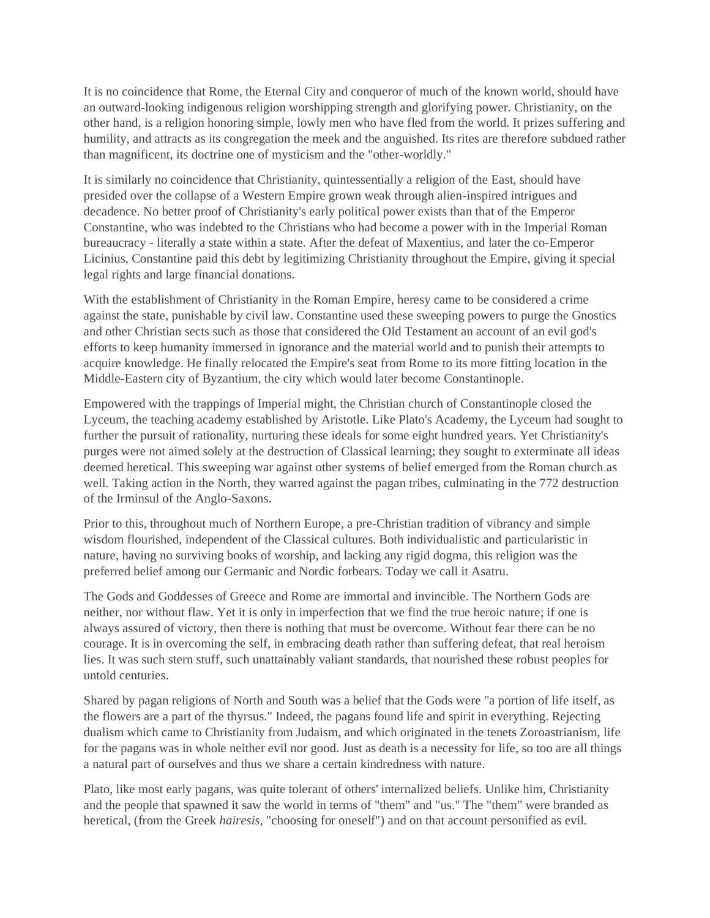It is no coincidence that Rome, the Eternal City and conqueror of much of the known world, should have an outward-looking indigenous religion worshipping strength and glorifying power. Christianity, on the other hand, is a religion honoring simple, lowly men who have fled from the world. It prizes suffering and humility, and attracts as its congregation the meek and the anguished. Its rites are therefore subdued rather than magnificent, its doctrine one of mysticism and the "other-worldly."

It is similarly no coincidence that Christianity, quintessentially a religion of the East, should have presided over the collapse of a Western Empire grown weak through alien-inspired intrigues and decadence. No better proof of Christianity's early political power exists than that of the Emperor Constantine, who was indebted to the Christians who had become a power with in the Imperial Roman bureaucracy - literally a state within a state. After the defeat of Maxentius, and later the co-Emperor Licinius, Constantine paid this debt by legitimizing Christianity throughout the Empire, giving it special legal rights and large financial donations.

With the establishment of Christianity in the Roman Empire, heresy came to be considered a crime against the state, punishable by civil law. Constantine used these sweeping powers to purge the Gnostics and other Christian sects such as those that considered the Old Testament an account of an evil god's efforts to keep humanity immersed in ignorance and the material world and to punish their attempts to acquire knowledge. He finally relocated the Empire's seat from Rome to its more fitting location in the Middle-Eastern city of Byzantium, the city which would later become Constantinople.

Empowered with the trappings of Imperial might, the Christian church of Constantinople closed the Lyceum, the teaching academy established by Aristotle. Like Plato's Academy, the Lyceum had sought to further the pursuit of rationality, nurturing these ideals for some eight hundred years. Yet Christianity's purges were not aimed solely at the destruction of Classical learning; they sought to exterminate all ideas deemed heretical. This sweeping war against other systems of belief emerged from the Roman church as well. Taking action in the North, they warred against the pagan tribes, culminating in the 772 destruction of the Irminsul of the Anglo-Saxons.

Prior to this, throughout much of Northern Europe, a pre-Christian tradition of vibrancy and simple wisdom flourished, independent of the Classical cultures. Both individualistic and particularistic in nature, having no surviving books of worship, and lacking any rigid dogma, this religion was the preferred belief among our Germanic and Nordic forbears. Today we call it Asatru.

The Gods and Goddesses of Greece and Rome are immortal and invincible. The Northern Gods are neither, nor without flaw. Yet it is only in imperfection that we find the true heroic nature; if one is always assured of victory, then there is nothing that must be overcome. Without fear there can be no courage. It is in overcoming the self, in embracing death rather than suffering defeat, that real heroism lies. It was such stern stuff, such unattainably valiant standards, that nourished these robust peoples for untold centuries.

Shared by pagan religions of North and South was a belief that the Gods were "a portion of life itself, as the flowers are a part of the thyrsus." Indeed, the pagans found life and spirit in everything. Rejecting dualism which came to Christianity from Judaism, and which originated in the tenets Zoroastrianism, life for the pagans was in whole neither evil nor good. Just as death is a necessity for life, so too are all things a natural part of ourselves and thus we share a certain kindredness with nature.

Plato, like most early pagans, was quite tolerant of others' internalized beliefs. Unlike him, Christianity and the people that spawned it saw the world in terms of "them" and "us." The "them" were branded as heretical, (from the Greek *hairesis*, "choosing for oneself") and on that account personified as evil.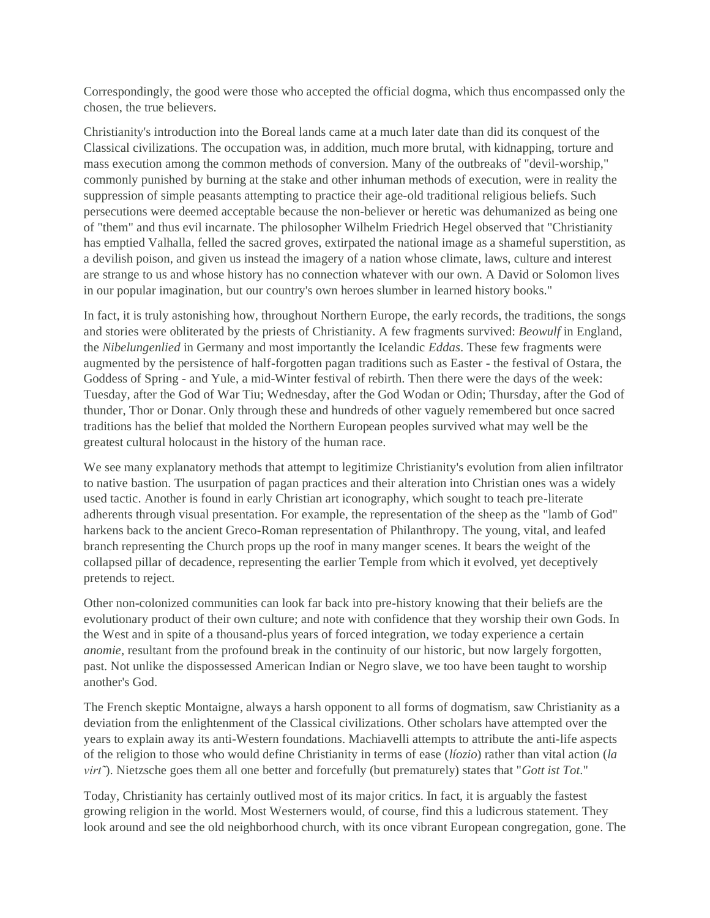Correspondingly, the good were those who accepted the official dogma, which thus encompassed only the chosen, the true believers.

Christianity's introduction into the Boreal lands came at a much later date than did its conquest of the Classical civilizations. The occupation was, in addition, much more brutal, with kidnapping, torture and mass execution among the common methods of conversion. Many of the outbreaks of "devil-worship," commonly punished by burning at the stake and other inhuman methods of execution, were in reality the suppression of simple peasants attempting to practice their age-old traditional religious beliefs. Such persecutions were deemed acceptable because the non-believer or heretic was dehumanized as being one of "them" and thus evil incarnate. The philosopher Wilhelm Friedrich Hegel observed that "Christianity has emptied Valhalla, felled the sacred groves, extirpated the national image as a shameful superstition, as a devilish poison, and given us instead the imagery of a nation whose climate, laws, culture and interest are strange to us and whose history has no connection whatever with our own. A David or Solomon lives in our popular imagination, but our country's own heroes slumber in learned history books."

In fact, it is truly astonishing how, throughout Northern Europe, the early records, the traditions, the songs and stories were obliterated by the priests of Christianity. A few fragments survived: *Beowulf* in England, the *Nibelungenlied* in Germany and most importantly the Icelandic *Eddas*. These few fragments were augmented by the persistence of half-forgotten pagan traditions such as Easter - the festival of Ostara, the Goddess of Spring - and Yule, a mid-Winter festival of rebirth. Then there were the days of the week: Tuesday, after the God of War Tiu; Wednesday, after the God Wodan or Odin; Thursday, after the God of thunder, Thor or Donar. Only through these and hundreds of other vaguely remembered but once sacred traditions has the belief that molded the Northern European peoples survived what may well be the greatest cultural holocaust in the history of the human race.

We see many explanatory methods that attempt to legitimize Christianity's evolution from alien infiltrator to native bastion. The usurpation of pagan practices and their alteration into Christian ones was a widely used tactic. Another is found in early Christian art iconography, which sought to teach pre-literate adherents through visual presentation. For example, the representation of the sheep as the "lamb of God" harkens back to the ancient Greco-Roman representation of Philanthropy. The young, vital, and leafed branch representing the Church props up the roof in many manger scenes. It bears the weight of the collapsed pillar of decadence, representing the earlier Temple from which it evolved, yet deceptively pretends to reject.

Other non-colonized communities can look far back into pre-history knowing that their beliefs are the evolutionary product of their own culture; and note with confidence that they worship their own Gods. In the West and in spite of a thousand-plus years of forced integration, we today experience a certain *anomie*, resultant from the profound break in the continuity of our historic, but now largely forgotten, past. Not unlike the dispossessed American Indian or Negro slave, we too have been taught to worship another's God.

The French skeptic Montaigne, always a harsh opponent to all forms of dogmatism, saw Christianity as a deviation from the enlightenment of the Classical civilizations. Other scholars have attempted over the years to explain away its anti-Western foundations. Machiavelli attempts to attribute the anti-life aspects of the religion to those who would define Christianity in terms of ease (*líozio*) rather than vital action (*la virt˜*). Nietzsche goes them all one better and forcefully (but prematurely) states that "*Gott ist Tot*."

Today, Christianity has certainly outlived most of its major critics. In fact, it is arguably the fastest growing religion in the world. Most Westerners would, of course, find this a ludicrous statement. They look around and see the old neighborhood church, with its once vibrant European congregation, gone. The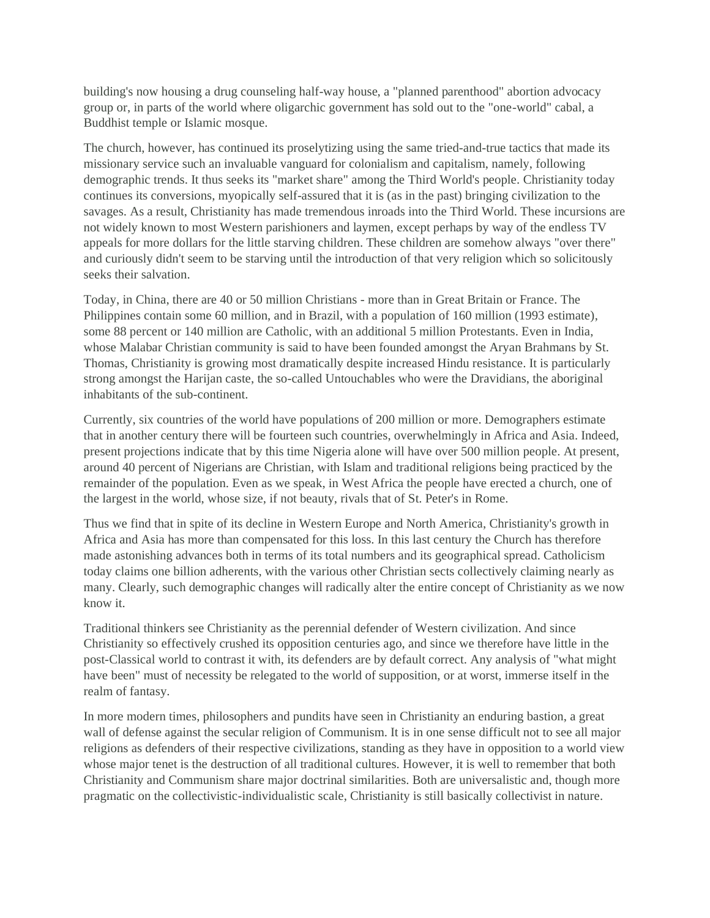building's now housing a drug counseling half-way house, a "planned parenthood" abortion advocacy group or, in parts of the world where oligarchic government has sold out to the "one-world" cabal, a Buddhist temple or Islamic mosque.

The church, however, has continued its proselytizing using the same tried-and-true tactics that made its missionary service such an invaluable vanguard for colonialism and capitalism, namely, following demographic trends. It thus seeks its "market share" among the Third World's people. Christianity today continues its conversions, myopically self-assured that it is (as in the past) bringing civilization to the savages. As a result, Christianity has made tremendous inroads into the Third World. These incursions are not widely known to most Western parishioners and laymen, except perhaps by way of the endless TV appeals for more dollars for the little starving children. These children are somehow always "over there" and curiously didn't seem to be starving until the introduction of that very religion which so solicitously seeks their salvation.

Today, in China, there are 40 or 50 million Christians - more than in Great Britain or France. The Philippines contain some 60 million, and in Brazil, with a population of 160 million (1993 estimate), some 88 percent or 140 million are Catholic, with an additional 5 million Protestants. Even in India, whose Malabar Christian community is said to have been founded amongst the Aryan Brahmans by St. Thomas, Christianity is growing most dramatically despite increased Hindu resistance. It is particularly strong amongst the Harijan caste, the so-called Untouchables who were the Dravidians, the aboriginal inhabitants of the sub-continent.

Currently, six countries of the world have populations of 200 million or more. Demographers estimate that in another century there will be fourteen such countries, overwhelmingly in Africa and Asia. Indeed, present projections indicate that by this time Nigeria alone will have over 500 million people. At present, around 40 percent of Nigerians are Christian, with Islam and traditional religions being practiced by the remainder of the population. Even as we speak, in West Africa the people have erected a church, one of the largest in the world, whose size, if not beauty, rivals that of St. Peter's in Rome.

Thus we find that in spite of its decline in Western Europe and North America, Christianity's growth in Africa and Asia has more than compensated for this loss. In this last century the Church has therefore made astonishing advances both in terms of its total numbers and its geographical spread. Catholicism today claims one billion adherents, with the various other Christian sects collectively claiming nearly as many. Clearly, such demographic changes will radically alter the entire concept of Christianity as we now know it.

Traditional thinkers see Christianity as the perennial defender of Western civilization. And since Christianity so effectively crushed its opposition centuries ago, and since we therefore have little in the post-Classical world to contrast it with, its defenders are by default correct. Any analysis of "what might have been" must of necessity be relegated to the world of supposition, or at worst, immerse itself in the realm of fantasy.

In more modern times, philosophers and pundits have seen in Christianity an enduring bastion, a great wall of defense against the secular religion of Communism. It is in one sense difficult not to see all major religions as defenders of their respective civilizations, standing as they have in opposition to a world view whose major tenet is the destruction of all traditional cultures. However, it is well to remember that both Christianity and Communism share major doctrinal similarities. Both are universalistic and, though more pragmatic on the collectivistic-individualistic scale, Christianity is still basically collectivist in nature.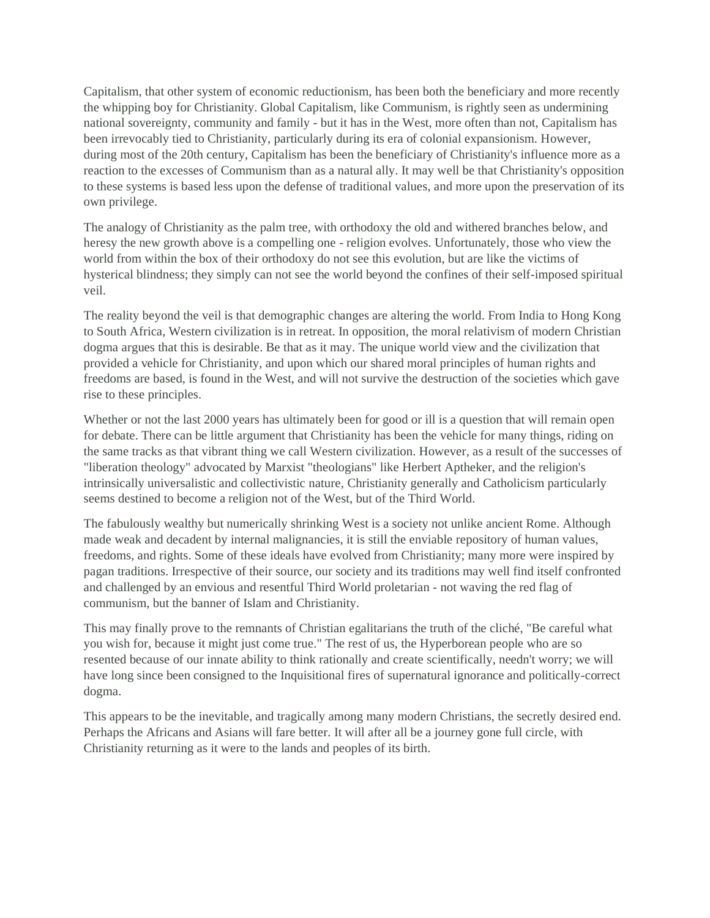Capitalism, that other system of economic reductionism, has been both the beneficiary and more recently the whipping boy for Christianity. Global Capitalism, like Communism, is rightly seen as undermining national sovereignty, community and family - but it has in the West, more often than not, Capitalism has been irrevocably tied to Christianity, particularly during its era of colonial expansionism. However, during most of the 20th century, Capitalism has been the beneficiary of Christianity's influence more as a reaction to the excesses of Communism than as a natural ally. It may well be that Christianity's opposition to these systems is based less upon the defense of traditional values, and more upon the preservation of its own privilege.

The analogy of Christianity as the palm tree, with orthodoxy the old and withered branches below, and heresy the new growth above is a compelling one - religion evolves. Unfortunately, those who view the world from within the box of their orthodoxy do not see this evolution, but are like the victims of hysterical blindness; they simply can not see the world beyond the confines of their self-imposed spiritual veil.

The reality beyond the veil is that demographic changes are altering the world. From India to Hong Kong to South Africa, Western civilization is in retreat. In opposition, the moral relativism of modern Christian dogma argues that this is desirable. Be that as it may. The unique world view and the civilization that provided a vehicle for Christianity, and upon which our shared moral principles of human rights and freedoms are based, is found in the West, and will not survive the destruction of the societies which gave rise to these principles.

Whether or not the last 2000 years has ultimately been for good or ill is a question that will remain open for debate. There can be little argument that Christianity has been the vehicle for many things, riding on the same tracks as that vibrant thing we call Western civilization. However, as a result of the successes of "liberation theology" advocated by Marxist "theologians" like Herbert Aptheker, and the religion's intrinsically universalistic and collectivistic nature, Christianity generally and Catholicism particularly seems destined to become a religion not of the West, but of the Third World.

The fabulously wealthy but numerically shrinking West is a society not unlike ancient Rome. Although made weak and decadent by internal malignancies, it is still the enviable repository of human values, freedoms, and rights. Some of these ideals have evolved from Christianity; many more were inspired by pagan traditions. Irrespective of their source, our society and its traditions may well find itself confronted and challenged by an envious and resentful Third World proletarian - not waving the red flag of communism, but the banner of Islam and Christianity.

This may finally prove to the remnants of Christian egalitarians the truth of the cliché, "Be careful what you wish for, because it might just come true." The rest of us, the Hyperborean people who are so resented because of our innate ability to think rationally and create scientifically, needn't worry; we will have long since been consigned to the Inquisitional fires of supernatural ignorance and politically-correct dogma.

This appears to be the inevitable, and tragically among many modern Christians, the secretly desired end. Perhaps the Africans and Asians will fare better. It will after all be a journey gone full circle, with Christianity returning as it were to the lands and peoples of its birth.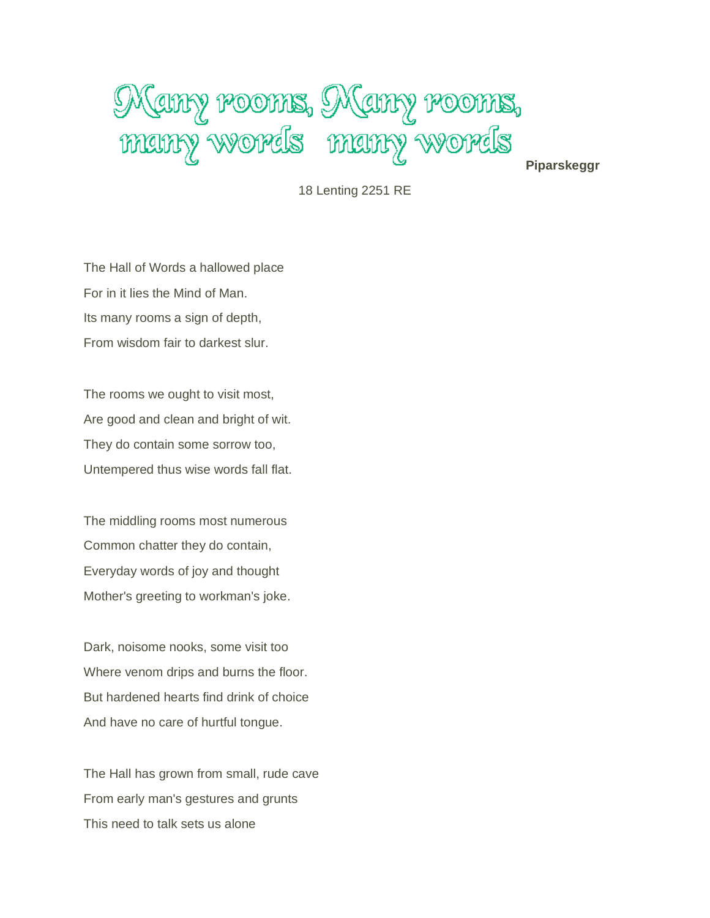# Mamy rooms, Mamy rooms, many words many words

**Piparskeggr**

18 Lenting 2251 RE

The Hall of Words a hallowed place For in it lies the Mind of Man. Its many rooms a sign of depth, From wisdom fair to darkest slur.

The rooms we ought to visit most, Are good and clean and bright of wit. They do contain some sorrow too, Untempered thus wise words fall flat.

The middling rooms most numerous Common chatter they do contain, Everyday words of joy and thought Mother's greeting to workman's joke.

Dark, noisome nooks, some visit too Where venom drips and burns the floor. But hardened hearts find drink of choice And have no care of hurtful tongue.

The Hall has grown from small, rude cave From early man's gestures and grunts This need to talk sets us alone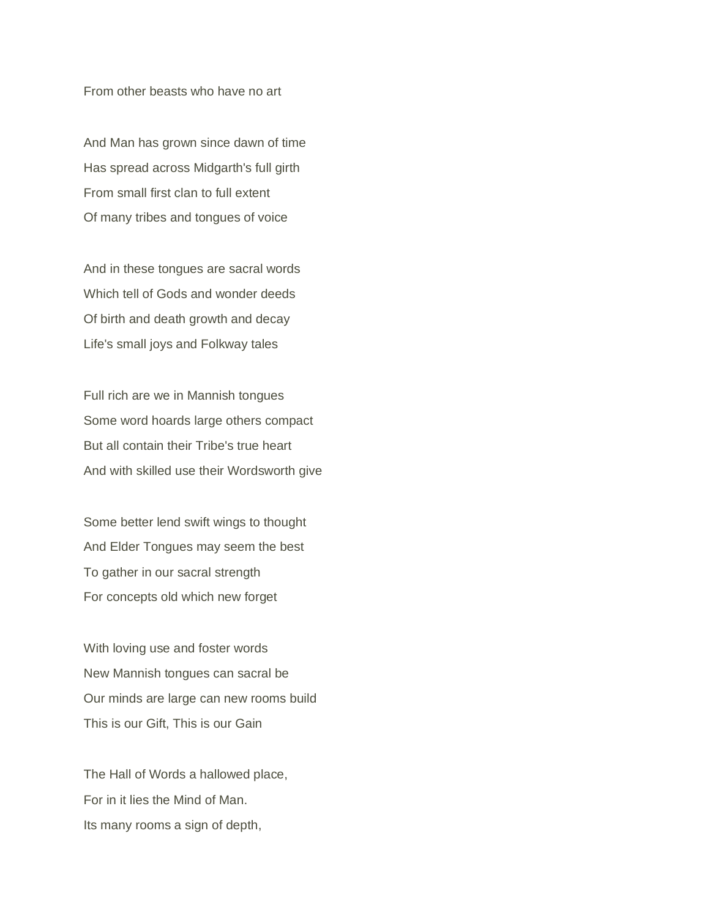From other beasts who have no art

And Man has grown since dawn of time Has spread across Midgarth's full girth From small first clan to full extent Of many tribes and tongues of voice

And in these tongues are sacral words Which tell of Gods and wonder deeds Of birth and death growth and decay Life's small joys and Folkway tales

Full rich are we in Mannish tongues Some word hoards large others compact But all contain their Tribe's true heart And with skilled use their Wordsworth give

Some better lend swift wings to thought And Elder Tongues may seem the best To gather in our sacral strength For concepts old which new forget

With loving use and foster words New Mannish tongues can sacral be Our minds are large can new rooms build This is our Gift, This is our Gain

The Hall of Words a hallowed place, For in it lies the Mind of Man. Its many rooms a sign of depth,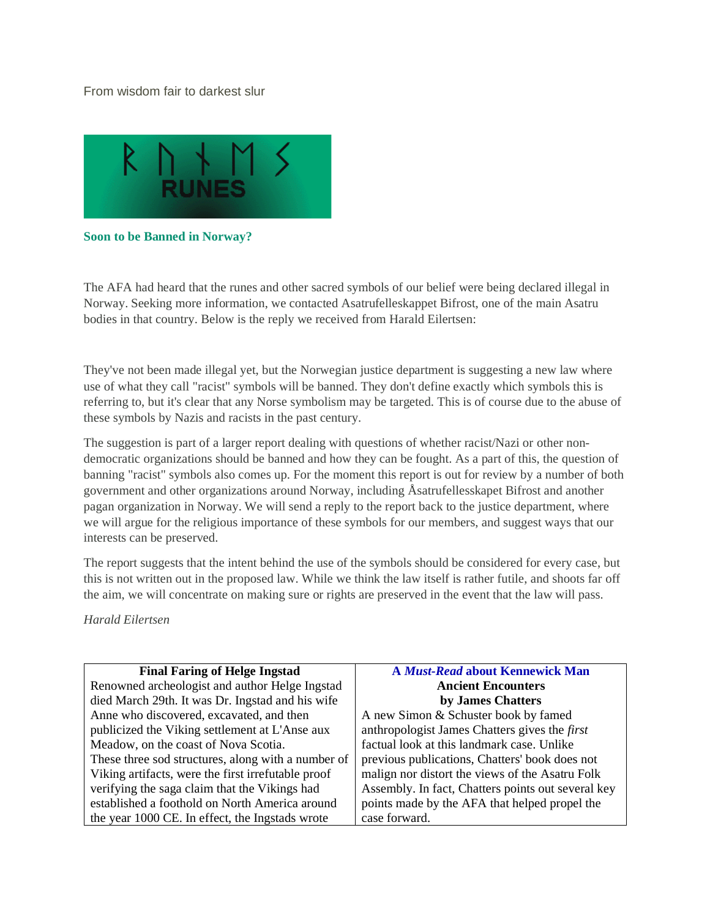# From wisdom fair to darkest slur



**Soon to be Banned in Norway?**

The AFA had heard that the runes and other sacred symbols of our belief were being declared illegal in Norway. Seeking more information, we contacted Asatrufelleskappet Bifrost, one of the main Asatru bodies in that country. Below is the reply we received from Harald Eilertsen:

They've not been made illegal yet, but the Norwegian justice department is suggesting a new law where use of what they call "racist" symbols will be banned. They don't define exactly which symbols this is referring to, but it's clear that any Norse symbolism may be targeted. This is of course due to the abuse of these symbols by Nazis and racists in the past century.

The suggestion is part of a larger report dealing with questions of whether racist/Nazi or other nondemocratic organizations should be banned and how they can be fought. As a part of this, the question of banning "racist" symbols also comes up. For the moment this report is out for review by a number of both government and other organizations around Norway, including Åsatrufellesskapet Bifrost and another pagan organization in Norway. We will send a reply to the report back to the justice department, where we will argue for the religious importance of these symbols for our members, and suggest ways that our interests can be preserved.

The report suggests that the intent behind the use of the symbols should be considered for every case, but this is not written out in the proposed law. While we think the law itself is rather futile, and shoots far off the aim, we will concentrate on making sure or rights are preserved in the event that the law will pass.

*Harald Eilertsen*

| <b>Final Faring of Helge Ingstad</b>               | <b>A Must-Read about Kennewick Man</b>               |
|----------------------------------------------------|------------------------------------------------------|
| Renowned archeologist and author Helge Ingstad     | <b>Ancient Encounters</b>                            |
| died March 29th. It was Dr. Ingstad and his wife   | by James Chatters                                    |
| Anne who discovered, excavated, and then           | A new Simon & Schuster book by famed                 |
| publicized the Viking settlement at L'Anse aux     | anthropologist James Chatters gives the <i>first</i> |
| Meadow, on the coast of Nova Scotia.               | factual look at this landmark case. Unlike           |
| These three sod structures, along with a number of | previous publications, Chatters' book does not       |
| Viking artifacts, were the first irrefutable proof | malign nor distort the views of the Asatru Folk      |
| verifying the saga claim that the Vikings had      | Assembly. In fact, Chatters points out several key   |
| established a foothold on North America around     | points made by the AFA that helped propel the        |
| the year 1000 CE. In effect, the Ingstads wrote    | case forward.                                        |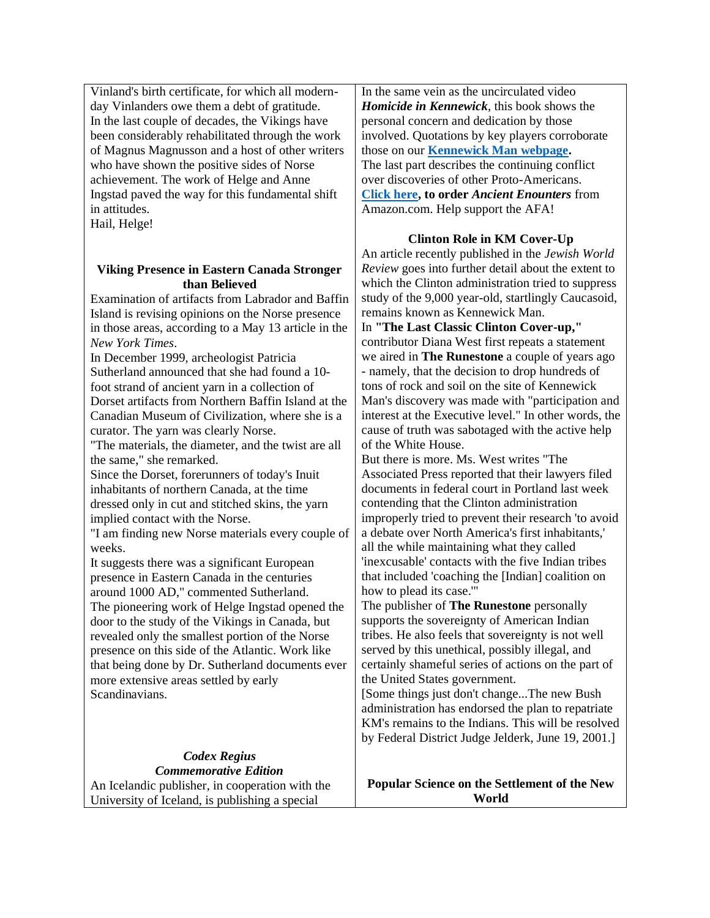Vinland's birth certificate, for which all modernday Vinlanders owe them a debt of gratitude. In the last couple of decades, the Vikings have been considerably rehabilitated through the work of Magnus Magnusson and a host of other writers who have shown the positive sides of Norse achievement. The work of Helge and Anne Ingstad paved the way for this fundamental shift in attitudes. Hail, Helge!

# **Viking Presence in Eastern Canada Stronger than Believed**

Examination of artifacts from Labrador and Baffin Island is revising opinions on the Norse presence in those areas, according to a May 13 article in the *New York Times*.

In December 1999, archeologist Patricia Sutherland announced that she had found a 10 foot strand of ancient yarn in a collection of Dorset artifacts from Northern Baffin Island at the Canadian Museum of Civilization, where she is a curator. The yarn was clearly Norse.

"The materials, the diameter, and the twist are all the same," she remarked.

Since the Dorset, forerunners of today's Inuit inhabitants of northern Canada, at the time dressed only in cut and stitched skins, the yarn implied contact with the Norse.

"I am finding new Norse materials every couple of weeks.

It suggests there was a significant European presence in Eastern Canada in the centuries around 1000 AD," commented Sutherland.

The pioneering work of Helge Ingstad opened the door to the study of the Vikings in Canada, but revealed only the smallest portion of the Norse presence on this side of the Atlantic. Work like that being done by Dr. Sutherland documents ever more extensive areas settled by early Scandinavians.

> *Codex Regius Commemorative Edition*

An Icelandic publisher, in cooperation with the University of Iceland, is publishing a special

In the same vein as the uncirculated video *Homicide in Kennewick*, this book shows the personal concern and dedication by those involved. Quotations by key players corroborate those on our **[Kennewick Man webpage.](https://web.archive.org/web/20010710015006/http:/runestone.org/kmfile.html)** The last part describes the continuing conflict over discoveries of other Proto-Americans. **[Click here,](https://web.archive.org/web/20010710015006/http:/www.amazon.com/exec/obidos/redirect?tag=asatrufolkassemb) to order** *Ancient Enounters* from Amazon.com. Help support the AFA!

# **Clinton Role in KM Cover-Up**

An article recently published in the *Jewish World Review* goes into further detail about the extent to which the Clinton administration tried to suppress study of the 9,000 year-old, startlingly Caucasoid, remains known as Kennewick Man.

In **"The Last Classic Clinton Cover-up,"** contributor Diana West first repeats a statement we aired in **The Runestone** a couple of years ago - namely, that the decision to drop hundreds of tons of rock and soil on the site of Kennewick Man's discovery was made with "participation and interest at the Executive level." In other words, the cause of truth was sabotaged with the active help of the White House.

But there is more. Ms. West writes "The Associated Press reported that their lawyers filed documents in federal court in Portland last week contending that the Clinton administration improperly tried to prevent their research 'to avoid a debate over North America's first inhabitants,' all the while maintaining what they called 'inexcusable' contacts with the five Indian tribes that included 'coaching the [Indian] coalition on how to plead its case.'"

The publisher of **The Runestone** personally supports the sovereignty of American Indian tribes. He also feels that sovereignty is not well served by this unethical, possibly illegal, and certainly shameful series of actions on the part of the United States government.

[Some things just don't change...The new Bush administration has endorsed the plan to repatriate KM's remains to the Indians. This will be resolved by Federal District Judge Jelderk, June 19, 2001.]

**Popular Science on the Settlement of the New World**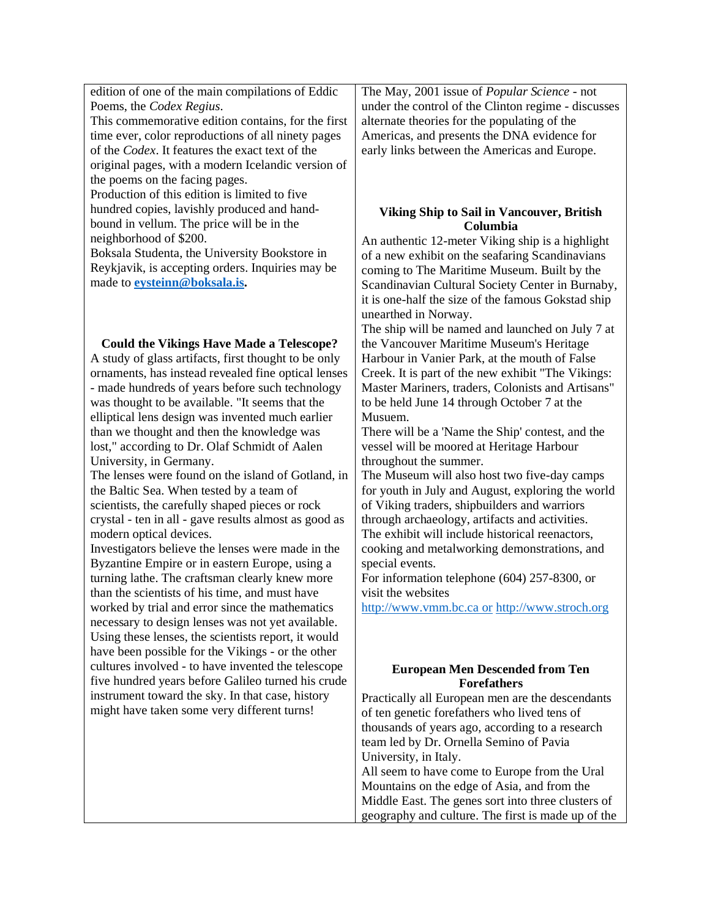edition of one of the main compilations of Eddic Poems, the *Codex Regius*.

This commemorative edition contains, for the first time ever, color reproductions of all ninety pages of the *Codex*. It features the exact text of the original pages, with a modern Icelandic version of the poems on the facing pages.

Production of this edition is limited to five hundred copies, lavishly produced and handbound in vellum. The price will be in the neighborhood of \$200.

Boksala Studenta, the University Bookstore in Reykjavik, is accepting orders. Inquiries may be made to **[eysteinn@boksala.is.](https://web.archive.org/web/20010710015006/mailto:eysteinn@boksala.is)**

**Could the Vikings Have Made a Telescope?**

A study of glass artifacts, first thought to be only ornaments, has instead revealed fine optical lenses - made hundreds of years before such technology was thought to be available. "It seems that the elliptical lens design was invented much earlier than we thought and then the knowledge was lost," according to Dr. Olaf Schmidt of Aalen University, in Germany.

The lenses were found on the island of Gotland, in the Baltic Sea. When tested by a team of scientists, the carefully shaped pieces or rock crystal - ten in all - gave results almost as good as modern optical devices.

Investigators believe the lenses were made in the Byzantine Empire or in eastern Europe, using a turning lathe. The craftsman clearly knew more than the scientists of his time, and must have worked by trial and error since the mathematics necessary to design lenses was not yet available. Using these lenses, the scientists report, it would have been possible for the Vikings - or the other cultures involved - to have invented the telescope five hundred years before Galileo turned his crude instrument toward the sky. In that case, history might have taken some very different turns!

The May, 2001 issue of *Popular Science* - not under the control of the Clinton regime - discusses alternate theories for the populating of the Americas, and presents the DNA evidence for early links between the Americas and Europe.

# **Viking Ship to Sail in Vancouver, British Columbia**

An authentic 12-meter Viking ship is a highlight of a new exhibit on the seafaring Scandinavians coming to The Maritime Museum. Built by the Scandinavian Cultural Society Center in Burnaby, it is one-half the size of the famous Gokstad ship unearthed in Norway.

The ship will be named and launched on July 7 at the Vancouver Maritime Museum's Heritage Harbour in Vanier Park, at the mouth of False Creek. It is part of the new exhibit "The Vikings: Master Mariners, traders, Colonists and Artisans" to be held June 14 through October 7 at the Musuem.

There will be a 'Name the Ship' contest, and the vessel will be moored at Heritage Harbour throughout the summer.

The Museum will also host two five-day camps for youth in July and August, exploring the world of Viking traders, shipbuilders and warriors through archaeology, artifacts and activities. The exhibit will include historical reenactors, cooking and metalworking demonstrations, and special events.

For information telephone (604) 257-8300, or visit the websites

[http://www.vmm.bc.ca or](https://web.archive.org/web/20010710015006/http:/www.vmm.bc.ca%20or/) [http://www.stroch.org](https://web.archive.org/web/20010710015006/http:/www.stroch.org/)

# **European Men Descended from Ten Forefathers**

Practically all European men are the descendants of ten genetic forefathers who lived tens of thousands of years ago, according to a research team led by Dr. Ornella Semino of Pavia University, in Italy.

All seem to have come to Europe from the Ural Mountains on the edge of Asia, and from the Middle East. The genes sort into three clusters of geography and culture. The first is made up of the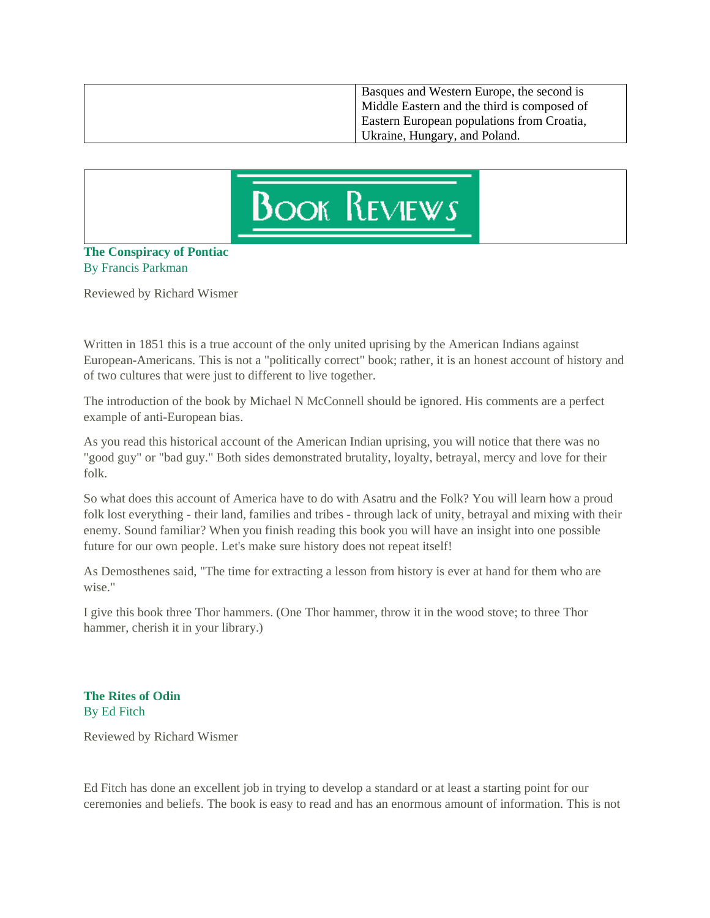| Basques and Western Europe, the second is<br>Middle Eastern and the third is composed of |
|------------------------------------------------------------------------------------------|
| Eastern European populations from Croatia,<br>Ukraine, Hungary, and Poland.              |



# **The Conspiracy of Pontiac**  By Francis Parkman

Reviewed by Richard Wismer

Written in 1851 this is a true account of the only united uprising by the American Indians against European-Americans. This is not a "politically correct" book; rather, it is an honest account of history and of two cultures that were just to different to live together.

The introduction of the book by Michael N McConnell should be ignored. His comments are a perfect example of anti-European bias.

As you read this historical account of the American Indian uprising, you will notice that there was no "good guy" or "bad guy." Both sides demonstrated brutality, loyalty, betrayal, mercy and love for their folk.

So what does this account of America have to do with Asatru and the Folk? You will learn how a proud folk lost everything - their land, families and tribes - through lack of unity, betrayal and mixing with their enemy. Sound familiar? When you finish reading this book you will have an insight into one possible future for our own people. Let's make sure history does not repeat itself!

As Demosthenes said, "The time for extracting a lesson from history is ever at hand for them who are wise."

I give this book three Thor hammers. (One Thor hammer, throw it in the wood stove; to three Thor hammer, cherish it in your library.)

**The Rites of Odin**  By Ed Fitch

Reviewed by Richard Wismer

Ed Fitch has done an excellent job in trying to develop a standard or at least a starting point for our ceremonies and beliefs. The book is easy to read and has an enormous amount of information. This is not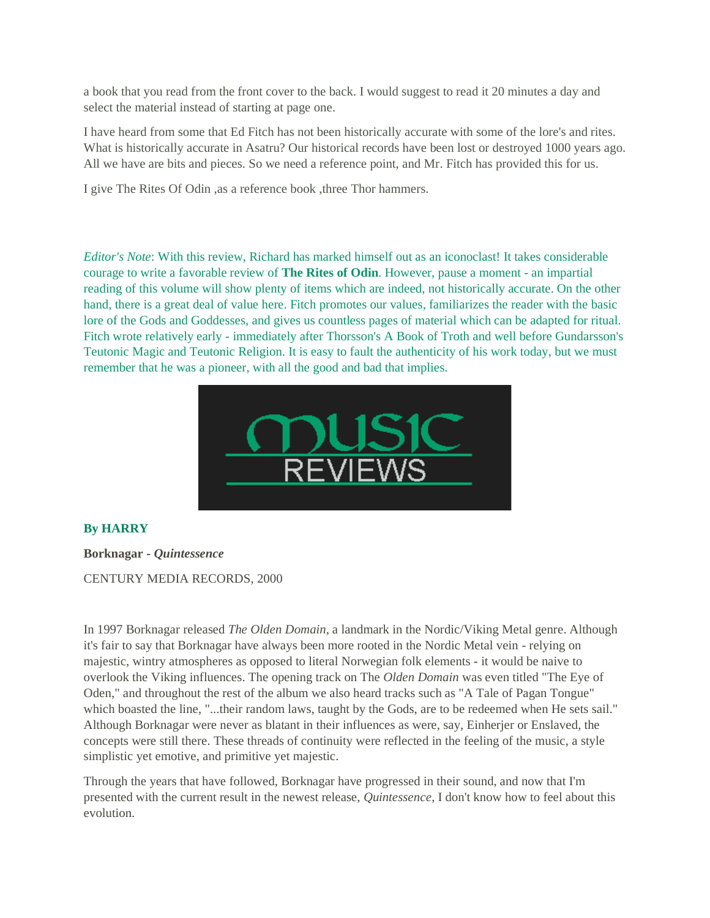a book that you read from the front cover to the back. I would suggest to read it 20 minutes a day and select the material instead of starting at page one.

I have heard from some that Ed Fitch has not been historically accurate with some of the lore's and rites. What is historically accurate in Asatru? Our historical records have been lost or destroyed 1000 years ago. All we have are bits and pieces. So we need a reference point, and Mr. Fitch has provided this for us.

I give The Rites Of Odin ,as a reference book ,three Thor hammers.

*Editor's Note*: With this review, Richard has marked himself out as an iconoclast! It takes considerable courage to write a favorable review of **The Rites of Odin**. However, pause a moment - an impartial reading of this volume will show plenty of items which are indeed, not historically accurate. On the other hand, there is a great deal of value here. Fitch promotes our values, familiarizes the reader with the basic lore of the Gods and Goddesses, and gives us countless pages of material which can be adapted for ritual. Fitch wrote relatively early - immediately after Thorsson's A Book of Troth and well before Gundarsson's Teutonic Magic and Teutonic Religion. It is easy to fault the authenticity of his work today, but we must remember that he was a pioneer, with all the good and bad that implies.



# **By HARRY**

**Borknagar -** *Quintessence*

# CENTURY MEDIA RECORDS, 2000

In 1997 Borknagar released *The Olden Domain*, a landmark in the Nordic/Viking Metal genre. Although it's fair to say that Borknagar have always been more rooted in the Nordic Metal vein - relying on majestic, wintry atmospheres as opposed to literal Norwegian folk elements - it would be naive to overlook the Viking influences. The opening track on The *Olden Domain* was even titled "The Eye of Oden," and throughout the rest of the album we also heard tracks such as "A Tale of Pagan Tongue" which boasted the line, "...their random laws, taught by the Gods, are to be redeemed when He sets sail." Although Borknagar were never as blatant in their influences as were, say, Einherjer or Enslaved, the concepts were still there. These threads of continuity were reflected in the feeling of the music, a style simplistic yet emotive, and primitive yet majestic.

Through the years that have followed, Borknagar have progressed in their sound, and now that I'm presented with the current result in the newest release, *Quintessence*, I don't know how to feel about this evolution.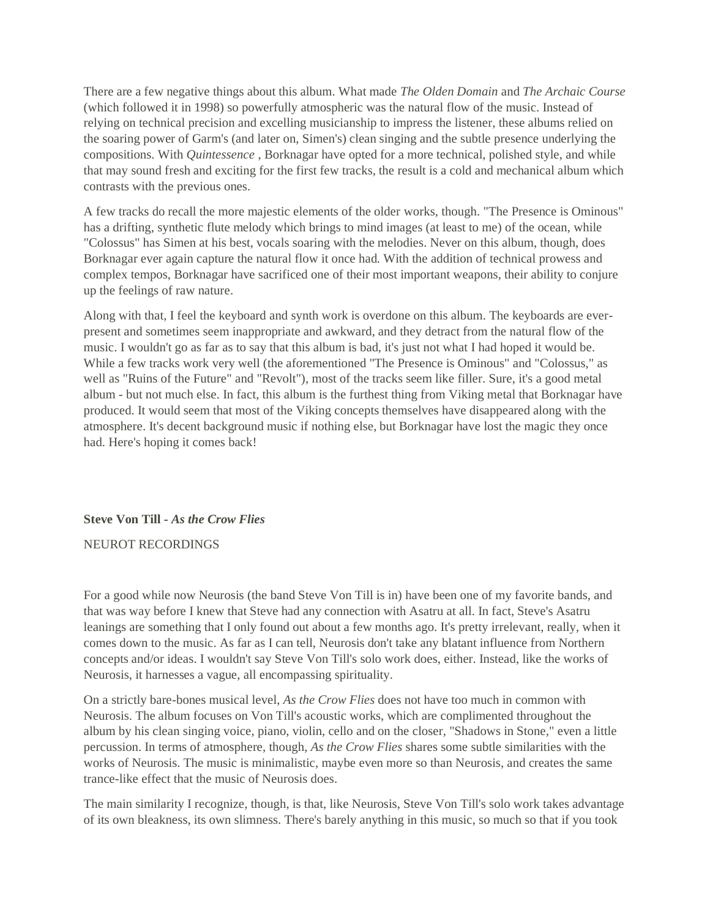There are a few negative things about this album. What made *The Olden Domain* and *The Archaic Course* (which followed it in 1998) so powerfully atmospheric was the natural flow of the music. Instead of relying on technical precision and excelling musicianship to impress the listener, these albums relied on the soaring power of Garm's (and later on, Simen's) clean singing and the subtle presence underlying the compositions. With *Quintessence* , Borknagar have opted for a more technical, polished style, and while that may sound fresh and exciting for the first few tracks, the result is a cold and mechanical album which contrasts with the previous ones.

A few tracks do recall the more majestic elements of the older works, though. "The Presence is Ominous" has a drifting, synthetic flute melody which brings to mind images (at least to me) of the ocean, while "Colossus" has Simen at his best, vocals soaring with the melodies. Never on this album, though, does Borknagar ever again capture the natural flow it once had. With the addition of technical prowess and complex tempos, Borknagar have sacrificed one of their most important weapons, their ability to conjure up the feelings of raw nature.

Along with that, I feel the keyboard and synth work is overdone on this album. The keyboards are everpresent and sometimes seem inappropriate and awkward, and they detract from the natural flow of the music. I wouldn't go as far as to say that this album is bad, it's just not what I had hoped it would be. While a few tracks work very well (the aforementioned "The Presence is Ominous" and "Colossus," as well as "Ruins of the Future" and "Revolt"), most of the tracks seem like filler. Sure, it's a good metal album - but not much else. In fact, this album is the furthest thing from Viking metal that Borknagar have produced. It would seem that most of the Viking concepts themselves have disappeared along with the atmosphere. It's decent background music if nothing else, but Borknagar have lost the magic they once had. Here's hoping it comes back!

# **Steve Von Till -** *As the Crow Flies*

## NEUROT RECORDINGS

For a good while now Neurosis (the band Steve Von Till is in) have been one of my favorite bands, and that was way before I knew that Steve had any connection with Asatru at all. In fact, Steve's Asatru leanings are something that I only found out about a few months ago. It's pretty irrelevant, really, when it comes down to the music. As far as I can tell, Neurosis don't take any blatant influence from Northern concepts and/or ideas. I wouldn't say Steve Von Till's solo work does, either. Instead, like the works of Neurosis, it harnesses a vague, all encompassing spirituality.

On a strictly bare-bones musical level, *As the Crow Flies* does not have too much in common with Neurosis. The album focuses on Von Till's acoustic works, which are complimented throughout the album by his clean singing voice, piano, violin, cello and on the closer, "Shadows in Stone," even a little percussion. In terms of atmosphere, though, *As the Crow Flies* shares some subtle similarities with the works of Neurosis. The music is minimalistic, maybe even more so than Neurosis, and creates the same trance-like effect that the music of Neurosis does.

The main similarity I recognize, though, is that, like Neurosis, Steve Von Till's solo work takes advantage of its own bleakness, its own slimness. There's barely anything in this music, so much so that if you took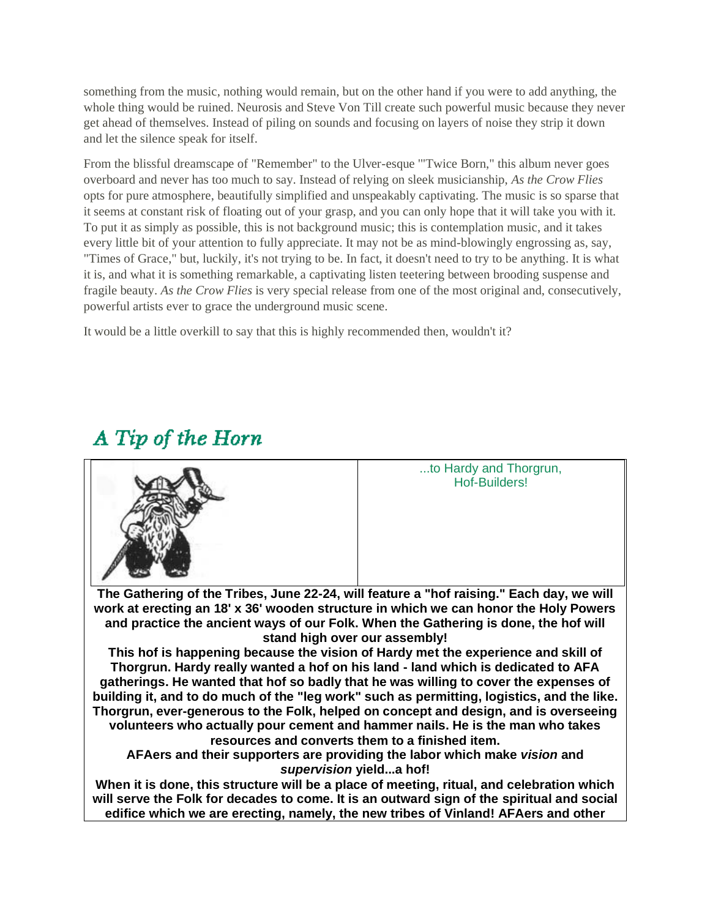something from the music, nothing would remain, but on the other hand if you were to add anything, the whole thing would be ruined. Neurosis and Steve Von Till create such powerful music because they never get ahead of themselves. Instead of piling on sounds and focusing on layers of noise they strip it down and let the silence speak for itself.

From the blissful dreamscape of "Remember" to the Ulver-esque '"Twice Born," this album never goes overboard and never has too much to say. Instead of relying on sleek musicianship, *As the Crow Flies* opts for pure atmosphere, beautifully simplified and unspeakably captivating. The music is so sparse that it seems at constant risk of floating out of your grasp, and you can only hope that it will take you with it. To put it as simply as possible, this is not background music; this is contemplation music, and it takes every little bit of your attention to fully appreciate. It may not be as mind-blowingly engrossing as, say, "Times of Grace," but, luckily, it's not trying to be. In fact, it doesn't need to try to be anything. It is what it is, and what it is something remarkable, a captivating listen teetering between brooding suspense and fragile beauty. *As the Crow Flies* is very special release from one of the most original and, consecutively, powerful artists ever to grace the underground music scene.

It would be a little overkill to say that this is highly recommended then, wouldn't it?



# A Tip of the Horn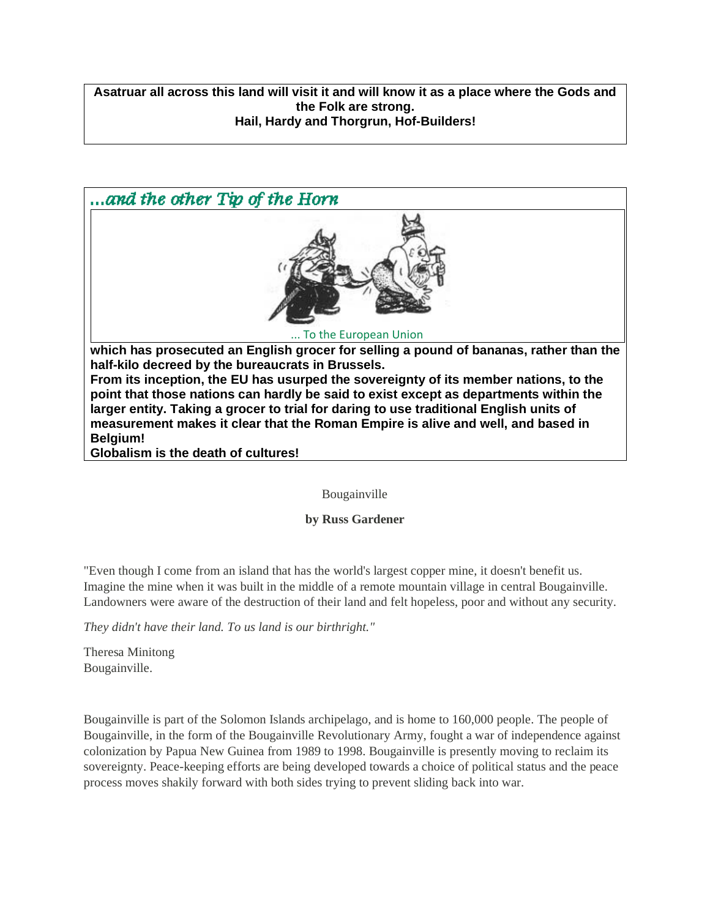**Asatruar all across this land will visit it and will know it as a place where the Gods and the Folk are strong. Hail, Hardy and Thorgrun, Hof-Builders!**



Bougainville

**by Russ Gardener**

"Even though I come from an island that has the world's largest copper mine, it doesn't benefit us. Imagine the mine when it was built in the middle of a remote mountain village in central Bougainville. Landowners were aware of the destruction of their land and felt hopeless, poor and without any security.

*They didn't have their land. To us land is our birthright."*

Theresa Minitong Bougainville.

Bougainville is part of the Solomon Islands archipelago, and is home to 160,000 people. The people of Bougainville, in the form of the Bougainville Revolutionary Army, fought a war of independence against colonization by Papua New Guinea from 1989 to 1998. Bougainville is presently moving to reclaim its sovereignty. Peace-keeping efforts are being developed towards a choice of political status and the peace process moves shakily forward with both sides trying to prevent sliding back into war.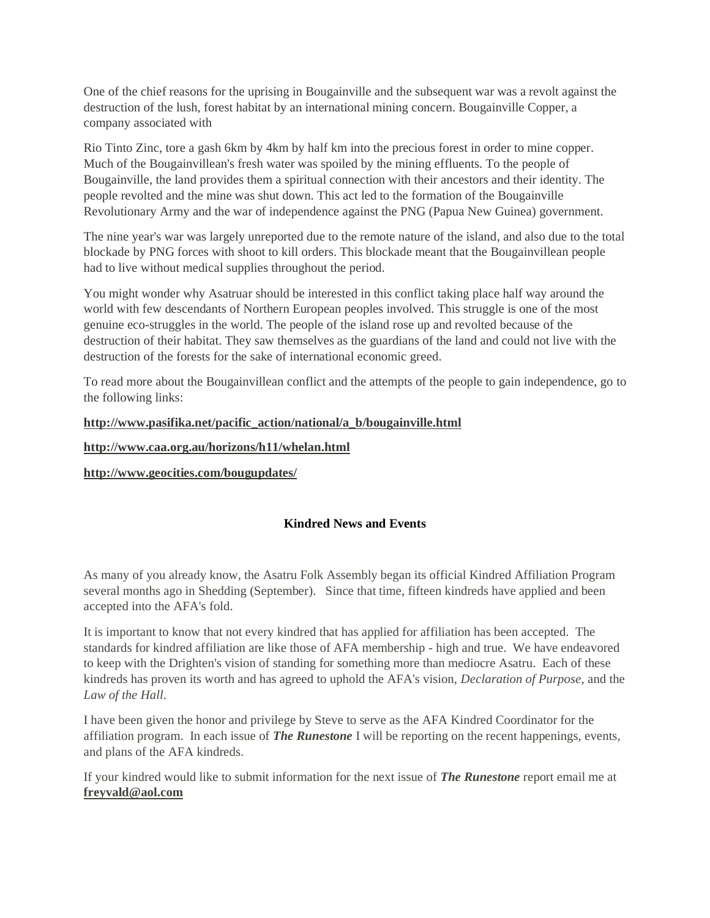One of the chief reasons for the uprising in Bougainville and the subsequent war was a revolt against the destruction of the lush, forest habitat by an international mining concern. Bougainville Copper, a company associated with

Rio Tinto Zinc, tore a gash 6km by 4km by half km into the precious forest in order to mine copper. Much of the Bougainvillean's fresh water was spoiled by the mining effluents. To the people of Bougainville, the land provides them a spiritual connection with their ancestors and their identity. The people revolted and the mine was shut down. This act led to the formation of the Bougainville Revolutionary Army and the war of independence against the PNG (Papua New Guinea) government.

The nine year's war was largely unreported due to the remote nature of the island, and also due to the total blockade by PNG forces with shoot to kill orders. This blockade meant that the Bougainvillean people had to live without medical supplies throughout the period.

You might wonder why Asatruar should be interested in this conflict taking place half way around the world with few descendants of Northern European peoples involved. This struggle is one of the most genuine eco-struggles in the world. The people of the island rose up and revolted because of the destruction of their habitat. They saw themselves as the guardians of the land and could not live with the destruction of the forests for the sake of international economic greed.

To read more about the Bougainvillean conflict and the attempts of the people to gain independence, go to the following links:

# **[http://www.pasifika.net/pacific\\_action/national/a\\_b/bougainville.html](https://web.archive.org/web/20010710021512/http:/www.pasifika.net/pacific_action/national/a_b/bougainville.html%0D)**

# **[http://www.caa.org.au/horizons/h11/whelan.html](https://web.archive.org/web/20010710021512/http:/www.caa.org.au/horizons/h11/whelan.html%0D)**

**[http://www.geocities.com/bougupdates/](https://web.archive.org/web/20010710021512/http:/therunestone.com/%0Dhttp:/www.geocities.com/bougupdates/)**

# **Kindred News and Events**

As many of you already know, the Asatru Folk Assembly began its official Kindred Affiliation Program several months ago in Shedding (September). Since that time, fifteen kindreds have applied and been accepted into the AFA's fold.

It is important to know that not every kindred that has applied for affiliation has been accepted. The standards for kindred affiliation are like those of AFA membership - high and true. We have endeavored to keep with the Drighten's vision of standing for something more than mediocre Asatru. Each of these kindreds has proven its worth and has agreed to uphold the AFA's vision, *Declaration of Purpose*, and the *Law of the Hall*.

I have been given the honor and privilege by Steve to serve as the AFA Kindred Coordinator for the affiliation program. In each issue of *The Runestone* I will be reporting on the recent happenings, events, and plans of the AFA kindreds.

If your kindred would like to submit information for the next issue of *The Runestone* report email me at **[freyvald@aol.com](https://web.archive.org/web/20010710015704/http:/therunestone.com/mfreyvald@aol.comailto:)**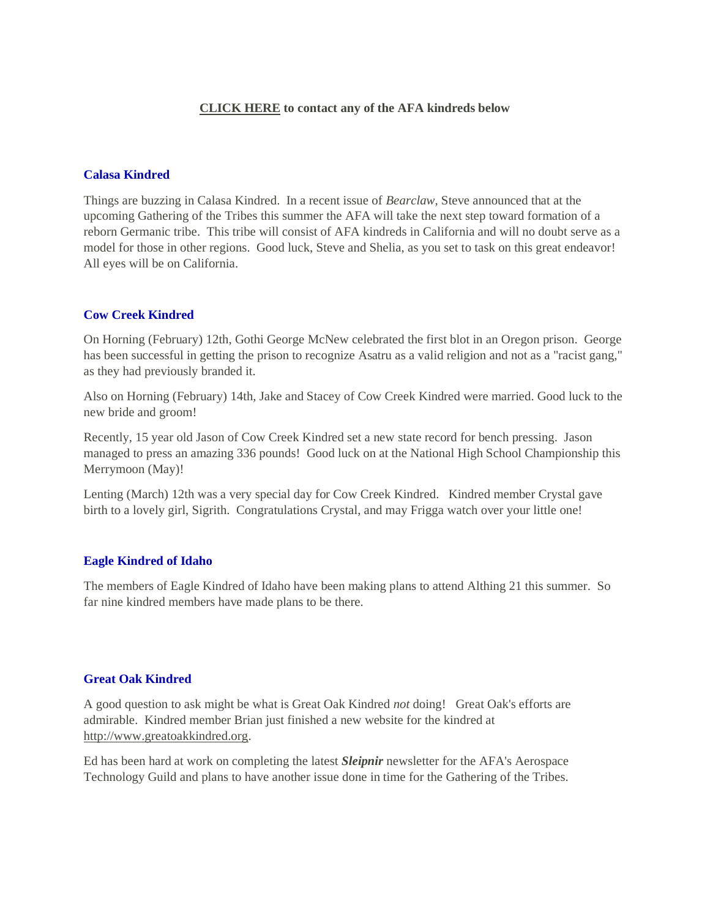# **[CLICK HERE](https://web.archive.org/web/20010710015704/http:/runestone.org/kinaffl.html) to contact any of the AFA kindreds below**

### **Calasa Kindred**

Things are buzzing in Calasa Kindred. In a recent issue of *Bearclaw*, Steve announced that at the upcoming Gathering of the Tribes this summer the AFA will take the next step toward formation of a reborn Germanic tribe. This tribe will consist of AFA kindreds in California and will no doubt serve as a model for those in other regions. Good luck, Steve and Shelia, as you set to task on this great endeavor! All eyes will be on California.

# **Cow Creek Kindred**

On Horning (February) 12th, Gothi George McNew celebrated the first blot in an Oregon prison. George has been successful in getting the prison to recognize Asatru as a valid religion and not as a "racist gang," as they had previously branded it.

Also on Horning (February) 14th, Jake and Stacey of Cow Creek Kindred were married. Good luck to the new bride and groom!

Recently, 15 year old Jason of Cow Creek Kindred set a new state record for bench pressing. Jason managed to press an amazing 336 pounds! Good luck on at the National High School Championship this Merrymoon (May)!

Lenting (March) 12th was a very special day for Cow Creek Kindred. Kindred member Crystal gave birth to a lovely girl, Sigrith. Congratulations Crystal, and may Frigga watch over your little one!

### **Eagle Kindred of Idaho**

The members of Eagle Kindred of Idaho have been making plans to attend Althing 21 this summer. So far nine kindred members have made plans to be there.

### **Great Oak Kindred**

A good question to ask might be what is Great Oak Kindred *not* doing! Great Oak's efforts are admirable. Kindred member Brian just finished a new website for the kindred at [http://www.greatoakkindred.org.](http://www.greatoakkindred.org/)

Ed has been hard at work on completing the latest *Sleipnir* newsletter for the AFA's Aerospace Technology Guild and plans to have another issue done in time for the Gathering of the Tribes.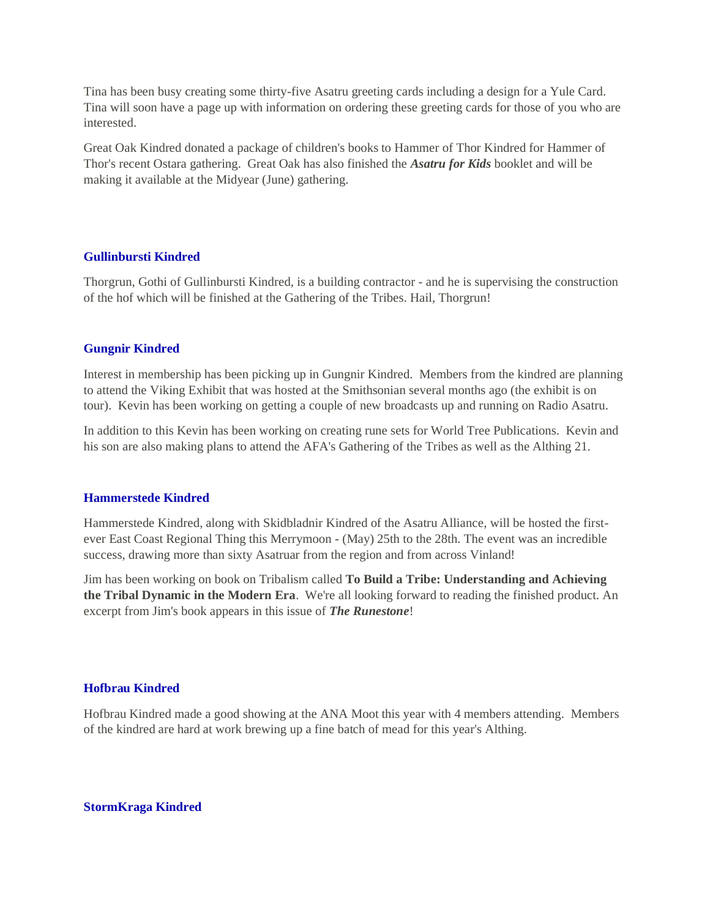Tina has been busy creating some thirty-five Asatru greeting cards including a design for a Yule Card. Tina will soon have a page up with information on ordering these greeting cards for those of you who are interested.

Great Oak Kindred donated a package of children's books to Hammer of Thor Kindred for Hammer of Thor's recent Ostara gathering. Great Oak has also finished the *Asatru for Kids* booklet and will be making it available at the Midyear (June) gathering.

### **Gullinbursti Kindred**

Thorgrun, Gothi of Gullinbursti Kindred, is a building contractor - and he is supervising the construction of the hof which will be finished at the Gathering of the Tribes. Hail, Thorgrun!

### **Gungnir Kindred**

Interest in membership has been picking up in Gungnir Kindred. Members from the kindred are planning to attend the Viking Exhibit that was hosted at the Smithsonian several months ago (the exhibit is on tour). Kevin has been working on getting a couple of new broadcasts up and running on Radio Asatru.

In addition to this Kevin has been working on creating rune sets for World Tree Publications. Kevin and his son are also making plans to attend the AFA's Gathering of the Tribes as well as the Althing 21.

### **Hammerstede Kindred**

Hammerstede Kindred, along with Skidbladnir Kindred of the Asatru Alliance, will be hosted the firstever East Coast Regional Thing this Merrymoon - (May) 25th to the 28th. The event was an incredible success, drawing more than sixty Asatruar from the region and from across Vinland!

Jim has been working on book on Tribalism called **To Build a Tribe: Understanding and Achieving the Tribal Dynamic in the Modern Era**. We're all looking forward to reading the finished product. An excerpt from Jim's book appears in this issue of *The Runestone*!

# **Hofbrau Kindred**

Hofbrau Kindred made a good showing at the ANA Moot this year with 4 members attending. Members of the kindred are hard at work brewing up a fine batch of mead for this year's Althing.

### **StormKraga Kindred**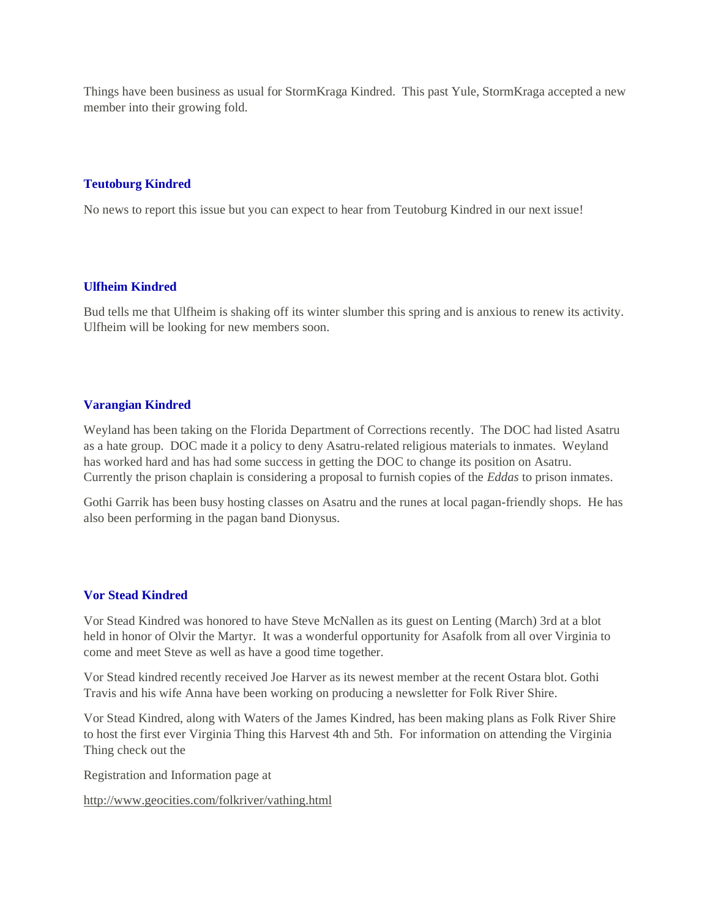Things have been business as usual for StormKraga Kindred. This past Yule, StormKraga accepted a new member into their growing fold.

# **Teutoburg Kindred**

No news to report this issue but you can expect to hear from Teutoburg Kindred in our next issue!

### **Ulfheim Kindred**

Bud tells me that Ulfheim is shaking off its winter slumber this spring and is anxious to renew its activity. Ulfheim will be looking for new members soon.

# **Varangian Kindred**

Weyland has been taking on the Florida Department of Corrections recently. The DOC had listed Asatru as a hate group. DOC made it a policy to deny Asatru-related religious materials to inmates. Weyland has worked hard and has had some success in getting the DOC to change its position on Asatru. Currently the prison chaplain is considering a proposal to furnish copies of the *Eddas* to prison inmates.

Gothi Garrik has been busy hosting classes on Asatru and the runes at local pagan-friendly shops. He has also been performing in the pagan band Dionysus.

# **Vor Stead Kindred**

Vor Stead Kindred was honored to have Steve McNallen as its guest on Lenting (March) 3rd at a blot held in honor of Olvir the Martyr. It was a wonderful opportunity for Asafolk from all over Virginia to come and meet Steve as well as have a good time together.

Vor Stead kindred recently received Joe Harver as its newest member at the recent Ostara blot. Gothi Travis and his wife Anna have been working on producing a newsletter for Folk River Shire.

Vor Stead Kindred, along with Waters of the James Kindred, has been making plans as Folk River Shire to host the first ever Virginia Thing this Harvest 4th and 5th. For information on attending the Virginia Thing check out the

Registration and Information page at

[http://www.geocities.com/folkriver/vathing.html](https://web.archive.org/web/20010710015704/http:/www.geocities.com/folkriver/vathing.html%0D)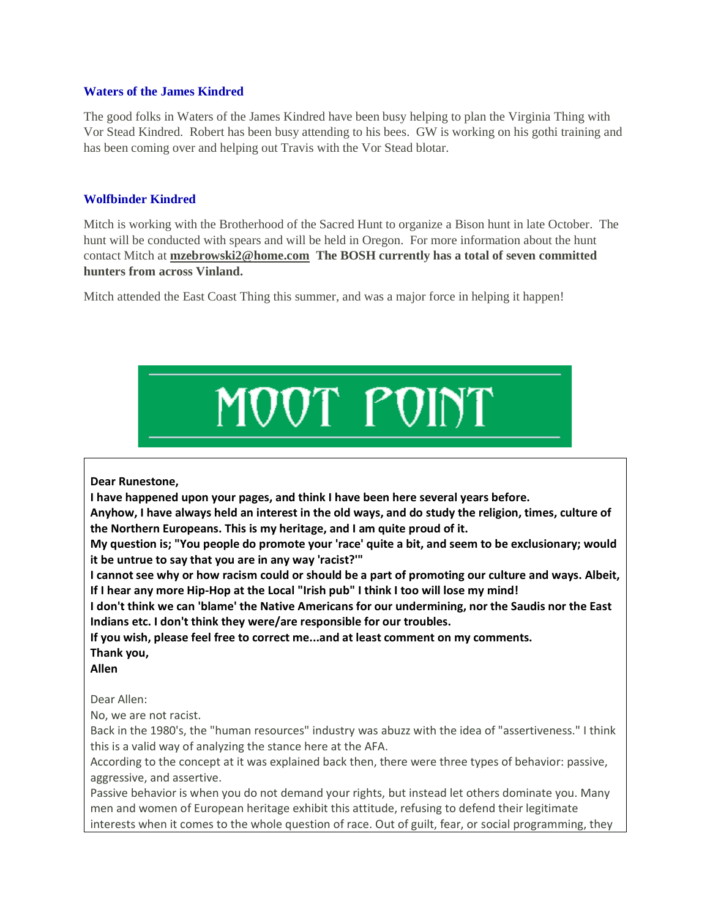## **Waters of the James Kindred**

The good folks in Waters of the James Kindred have been busy helping to plan the Virginia Thing with Vor Stead Kindred. Robert has been busy attending to his bees. GW is working on his gothi training and has been coming over and helping out Travis with the Vor Stead blotar.

## **Wolfbinder Kindred**

Mitch is working with the Brotherhood of the Sacred Hunt to organize a Bison hunt in late October. The hunt will be conducted with spears and will be held in Oregon. For more information about the hunt contact Mitch at **[mzebrowski2@home.com](https://web.archive.org/web/20010710015704/mailto:mzebrowski2@home.com) The BOSH currently has a total of seven committed hunters from across Vinland.**

Mitch attended the East Coast Thing this summer, and was a major force in helping it happen!



### **Dear Runestone,**

**I have happened upon your pages, and think I have been here several years before.**

**Anyhow, I have always held an interest in the old ways, and do study the religion, times, culture of the Northern Europeans. This is my heritage, and I am quite proud of it.**

**My question is; "You people do promote your 'race' quite a bit, and seem to be exclusionary; would it be untrue to say that you are in any way 'racist?'"**

**I cannot see why or how racism could or should be a part of promoting our culture and ways. Albeit, If I hear any more Hip-Hop at the Local "Irish pub" I think I too will lose my mind!**

**I don't think we can 'blame' the Native Americans for our undermining, nor the Saudis nor the East Indians etc. I don't think they were/are responsible for our troubles.**

**If you wish, please feel free to correct me...and at least comment on my comments. Thank you,**

**Allen**

Dear Allen:

No, we are not racist.

Back in the 1980's, the "human resources" industry was abuzz with the idea of "assertiveness." I think this is a valid way of analyzing the stance here at the AFA.

According to the concept at it was explained back then, there were three types of behavior: passive, aggressive, and assertive.

Passive behavior is when you do not demand your rights, but instead let others dominate you. Many men and women of European heritage exhibit this attitude, refusing to defend their legitimate interests when it comes to the whole question of race. Out of guilt, fear, or social programming, they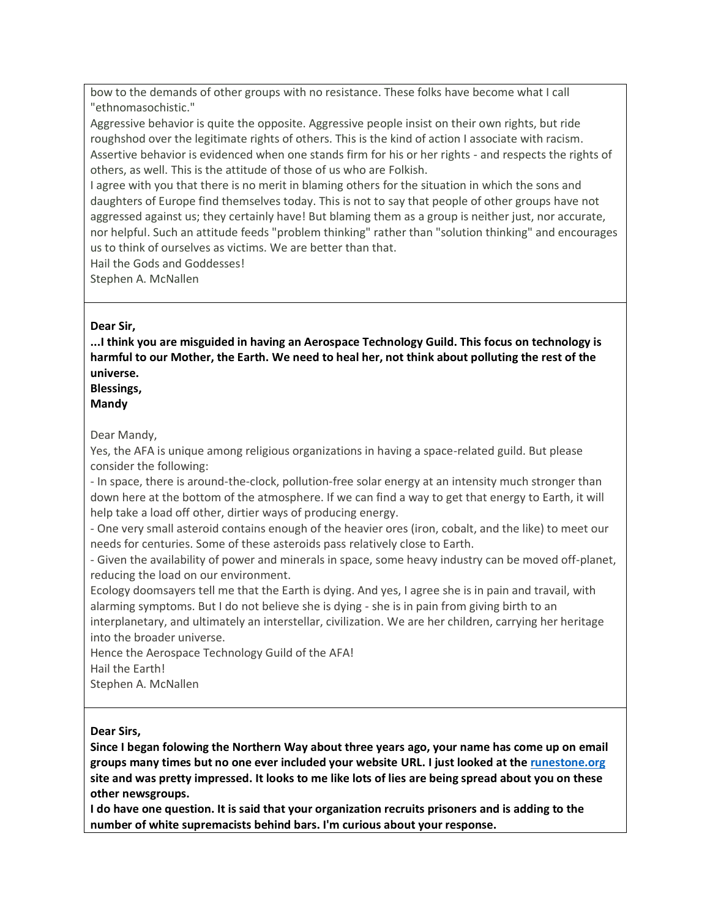bow to the demands of other groups with no resistance. These folks have become what I call "ethnomasochistic."

Aggressive behavior is quite the opposite. Aggressive people insist on their own rights, but ride roughshod over the legitimate rights of others. This is the kind of action I associate with racism. Assertive behavior is evidenced when one stands firm for his or her rights - and respects the rights of others, as well. This is the attitude of those of us who are Folkish.

I agree with you that there is no merit in blaming others for the situation in which the sons and daughters of Europe find themselves today. This is not to say that people of other groups have not aggressed against us; they certainly have! But blaming them as a group is neither just, nor accurate, nor helpful. Such an attitude feeds "problem thinking" rather than "solution thinking" and encourages us to think of ourselves as victims. We are better than that.

Hail the Gods and Goddesses!

Stephen A. McNallen

# **Dear Sir,**

**...I think you are misguided in having an Aerospace Technology Guild. This focus on technology is harmful to our Mother, the Earth. We need to heal her, not think about polluting the rest of the universe.**

# **Blessings,**

**Mandy**

# Dear Mandy,

Yes, the AFA is unique among religious organizations in having a space-related guild. But please consider the following:

- In space, there is around-the-clock, pollution-free solar energy at an intensity much stronger than down here at the bottom of the atmosphere. If we can find a way to get that energy to Earth, it will help take a load off other, dirtier ways of producing energy.

- One very small asteroid contains enough of the heavier ores (iron, cobalt, and the like) to meet our needs for centuries. Some of these asteroids pass relatively close to Earth.

- Given the availability of power and minerals in space, some heavy industry can be moved off-planet, reducing the load on our environment.

Ecology doomsayers tell me that the Earth is dying. And yes, I agree she is in pain and travail, with alarming symptoms. But I do not believe she is dying - she is in pain from giving birth to an interplanetary, and ultimately an interstellar, civilization. We are her children, carrying her heritage into the broader universe.

Hence the Aerospace Technology Guild of the AFA!

Hail the Earth!

Stephen A. McNallen

# **Dear Sirs,**

**Since I began folowing the Northern Way about three years ago, your name has come up on email groups many times but no one ever included your website URL. I just looked at th[e runestone.org](https://web.archive.org/web/20010710020701/http:/runestone.org/) site and was pretty impressed. It looks to me like lots of lies are being spread about you on these other newsgroups.**

**I do have one question. It is said that your organization recruits prisoners and is adding to the number of white supremacists behind bars. I'm curious about your response.**